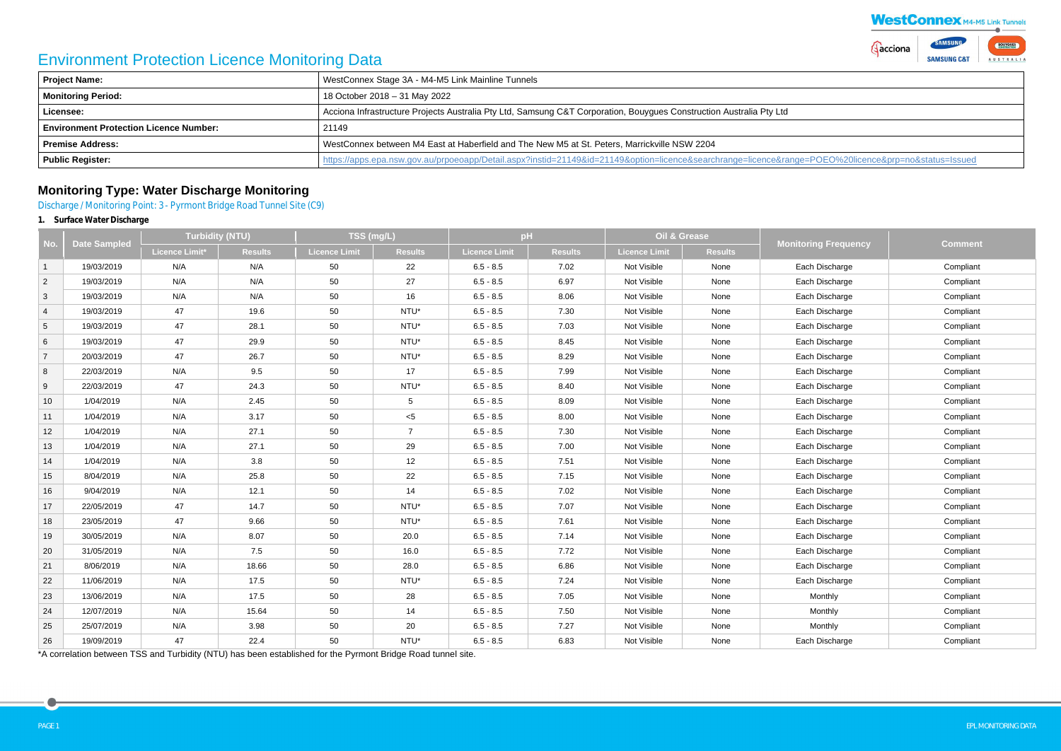# Environment Protection Licence Monitoring Data

| Project Name:                                 | WestConnex Stage 3A - M4-M5 Link Mainline Tunnels                                                                                               |
|-----------------------------------------------|-------------------------------------------------------------------------------------------------------------------------------------------------|
| <b>Monitoring Period:</b>                     | 18 October 2018 – 31 May 2022                                                                                                                   |
| Licensee:                                     | Acciona Infrastructure Projects Australia Pty Ltd, Samsung C&T Corporation, Bouygues Construction Australia Pty Ltd                             |
| <b>Environment Protection Licence Number:</b> | 21149                                                                                                                                           |
| <b>Premise Address:</b>                       | WestConnex between M4 East at Haberfield and The New M5 at St. Peters, Marrickville NSW 2204                                                    |
| <b>Public Register:</b>                       | https://apps.epa.nsw.gov.au/prpoeoapp/Detail.aspx?instid=21149&id=21149&option=licence&searchrange=licence⦥=POEO%20licence&prp=no&status=lssuec |

# **Monitoring Type: Water Discharge Monitoring**

Discharge / Monitoring Point: 3 - Pyrmont Bridge Road Tunnel Site (C9)

**1. Surface Water Discharge**

|                 | <b>Date Sampled</b> | <b>Turbidity (NTU)</b> |                | TSS (mg/L)    |                                            | pH                   |                | <b>Oil &amp; Grease</b> |                |                             |                |
|-----------------|---------------------|------------------------|----------------|---------------|--------------------------------------------|----------------------|----------------|-------------------------|----------------|-----------------------------|----------------|
| No.             |                     | <b>Licence Limit*</b>  | <b>Results</b> | Licence Limit | <b>Results</b>                             | <b>Licence Limit</b> | <b>Results</b> | Licence Limit           | <b>Results</b> | <b>Monitoring Frequency</b> | <b>Comment</b> |
| $\mathbf{1}$    | 19/03/2019          | N/A                    | N/A            | 50            | 22                                         | $6.5 - 8.5$          | 7.02           | Not Visible             | None           | Each Discharge              | Compliant      |
| $\overline{2}$  | 19/03/2019          | N/A                    | N/A            | 50            | 27                                         | $6.5 - 8.5$          | 6.97           | Not Visible             | None           | Each Discharge              | Compliant      |
| $\mathbf{3}$    | 19/03/2019          | N/A                    | N/A            | 50            | 16                                         | $6.5 - 8.5$          | 8.06           | Not Visible             | None           | Each Discharge              | Compliant      |
| $\overline{4}$  | 19/03/2019          | 47                     | 19.6           | 50            | NTU*                                       | $6.5 - 8.5$          | 7.30           | Not Visible             | None           | Each Discharge              | Compliant      |
| $5\phantom{.0}$ | 19/03/2019          | 47                     | 28.1           | 50            | NTU*                                       | $6.5 - 8.5$          | 7.03           | Not Visible             | None           | Each Discharge              | Compliant      |
| $\,6\,$         | 19/03/2019          | 47                     | 29.9           | 50            | NTU*                                       | $6.5 - 8.5$          | 8.45           | Not Visible             | None           | Each Discharge              | Compliant      |
| $\overline{7}$  | 20/03/2019          | 47                     | 26.7           | 50            | NTU*                                       | $6.5 - 8.5$          | 8.29           | Not Visible             | None           | Each Discharge              | Compliant      |
| 8               | 22/03/2019          | N/A                    | 9.5            | 50            | 17                                         | $6.5 - 8.5$          | 7.99           | Not Visible             | None           | Each Discharge              | Compliant      |
| 9               | 22/03/2019          | 47                     | 24.3           | 50            | NTU*                                       | $6.5 - 8.5$          | 8.40           | Not Visible             | None           | Each Discharge              | Compliant      |
| 10              | 1/04/2019           | N/A                    | 2.45           | 50            | 5 <sup>5</sup>                             | $6.5 - 8.5$          | 8.09           | Not Visible             | None           | Each Discharge              | Compliant      |
| 11              | 1/04/2019           | N/A                    | 3.17           | 50            | $<$ 5                                      | $6.5 - 8.5$          | 8.00           | Not Visible             | None           | Each Discharge              | Compliant      |
| 12              | 1/04/2019           | N/A                    | 27.1           | 50            | $\overline{7}$                             | $6.5 - 8.5$          | 7.30           | Not Visible             | None           | Each Discharge              | Compliant      |
| 13              | 1/04/2019           | N/A                    | 27.1           | 50            | 29                                         | $6.5 - 8.5$          | 7.00           | Not Visible             | None           | Each Discharge              | Compliant      |
| 14              | 1/04/2019           | N/A                    | 3.8            | 50            | 12                                         | $6.5 - 8.5$          | 7.51           | Not Visible             | None           | Each Discharge              | Compliant      |
| 15              | 8/04/2019           | N/A                    | 25.8           | 50            | 22                                         | $6.5 - 8.5$          | 7.15           | Not Visible             | None           | Each Discharge              | Compliant      |
| 16              | 9/04/2019           | N/A                    | 12.1           | 50            | 14                                         | $6.5 - 8.5$          | 7.02           | Not Visible             | None           | Each Discharge              | Compliant      |
| 17              | 22/05/2019          | 47                     | 14.7           | 50            | NTU*                                       | $6.5 - 8.5$          | 7.07           | Not Visible             | None           | Each Discharge              | Compliant      |
| 18              | 23/05/2019          | 47                     | 9.66           | 50            | NTU*                                       | $6.5 - 8.5$          | 7.61           | Not Visible             | None           | Each Discharge              | Compliant      |
| 19              | 30/05/2019          | N/A                    | 8.07           | 50            | 20.0                                       | $6.5 - 8.5$          | 7.14           | Not Visible             | None           | Each Discharge              | Compliant      |
| 20              | 31/05/2019          | N/A                    | 7.5            | 50            | 16.0                                       | $6.5 - 8.5$          | 7.72           | Not Visible             | None           | Each Discharge              | Compliant      |
| 21              | 8/06/2019           | N/A                    | 18.66          | 50            | 28.0                                       | $6.5 - 8.5$          | 6.86           | Not Visible             | None           | Each Discharge              | Compliant      |
| 22              | 11/06/2019          | N/A                    | 17.5           | 50            | NTU*                                       | $6.5 - 8.5$          | 7.24           | Not Visible             | None           | Each Discharge              | Compliant      |
| 23              | 13/06/2019          | N/A                    | 17.5           | 50            | 28                                         | $6.5 - 8.5$          | 7.05           | Not Visible             | None           | Monthly                     | Compliant      |
| 24              | 12/07/2019          | N/A                    | 15.64          | 50            | 14                                         | $6.5 - 8.5$          | 7.50           | Not Visible             | None           | Monthly                     | Compliant      |
| 25              | 25/07/2019          | N/A                    | 3.98           | 50            | 20                                         | $6.5 - 8.5$          | 7.27           | Not Visible             | None           | Monthly                     | Compliant      |
| 26              | 19/09/2019          | 47                     | 22.4           | 50            | $\ensuremath{\mathsf{NTU}^{\star}}\xspace$ | $6.5 - 8.5$          | 6.83           | Not Visible             | None           | Each Discharge              | Compliant      |

\*A correlation between TSS and Turbidity (NTU) has been established for the Pyrmont Bridge Road tunnel site.

|                                      |          | <b>WestConnex M4-M5 Link Tunnels</b>     |                         |
|--------------------------------------|----------|------------------------------------------|-------------------------|
|                                      | Gacciona | <b>SAMSUNG</b><br><b>SAMSUNG C&amp;T</b> | <b>BOUYGUES</b><br>STRA |
|                                      |          |                                          |                         |
|                                      |          |                                          |                         |
|                                      |          |                                          |                         |
|                                      |          |                                          |                         |
|                                      |          |                                          |                         |
| =POEO%20licence&prp=no&status=Issued |          |                                          |                         |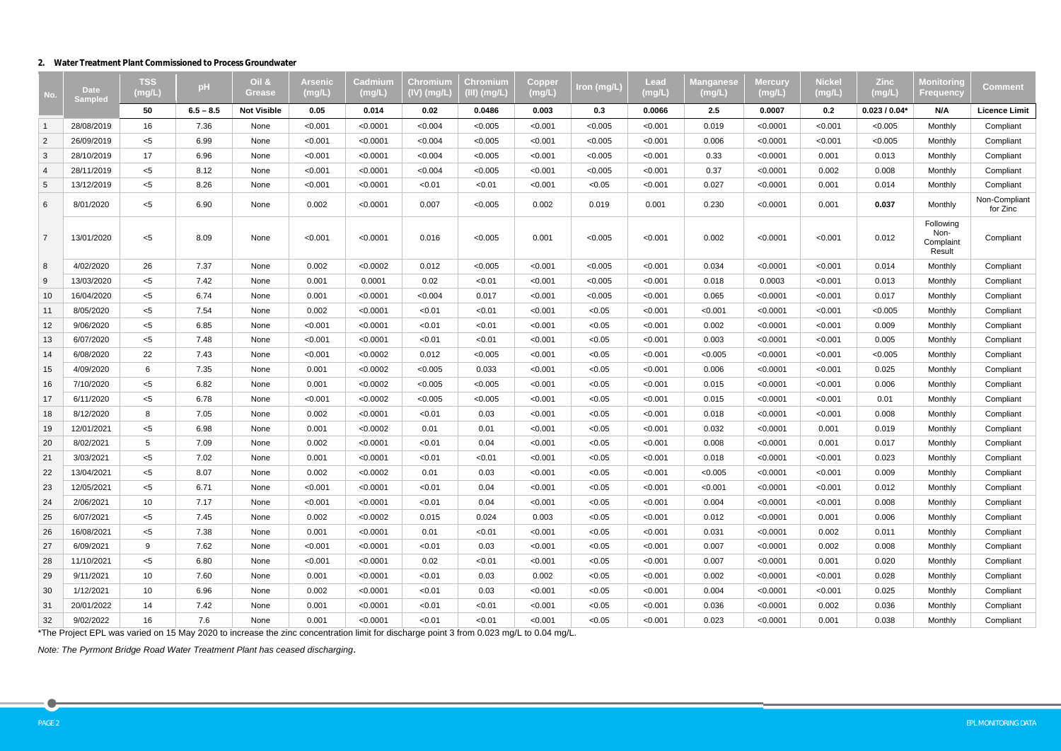#### **2. Water Treatment Plant Commissioned to Process Groundwater**

| No.            | <b>Date</b><br><b>Sampled</b> | <b>TSS</b><br>(mg/L) | pH          | Oil &<br><b>Grease</b> | Arsenic<br>(mg/L) | Cadmium<br>(mg/L | Chromium<br>(IV) (mg/L | Chromium<br>(III) (mg/L | Coppe<br>(mg/L) | Iron (mg/L) | Lead<br>(mg/L) | Manqanese<br>(mg/L) | Mercury<br>(mg/L) | <b>Nickel</b><br>(mg/L) | <b>Zinc</b><br>(mg/L) | <b>Monitoring</b><br><b>Frequency</b>    | <b>Comment</b>            |
|----------------|-------------------------------|----------------------|-------------|------------------------|-------------------|------------------|------------------------|-------------------------|-----------------|-------------|----------------|---------------------|-------------------|-------------------------|-----------------------|------------------------------------------|---------------------------|
|                |                               | 50                   | $6.5 - 8.5$ | <b>Not Visible</b>     | 0.05              | 0.014            | 0.02                   | 0.0486                  | 0.003           | 0.3         | 0.0066         | 2.5                 | 0.0007            | 0.2                     | $0.023/0.04*$         | N/A                                      | <b>Licence Limit</b>      |
| $\overline{1}$ | 28/08/2019                    | 16                   | 7.36        | None                   | < 0.001           | < 0.0001         | < 0.004                | < 0.005                 | < 0.001         | < 0.005     | < 0.001        | 0.019               | < 0.0001          | < 0.001                 | < 0.005               | Monthly                                  | Compliant                 |
| $\overline{2}$ | 26/09/2019                    | $<$ 5                | 6.99        | None                   | < 0.001           | < 0.0001         | < 0.004                | < 0.005                 | < 0.001         | < 0.005     | < 0.001        | 0.006               | < 0.0001          | < 0.001                 | < 0.005               | Monthly                                  | Compliant                 |
| 3              | 28/10/2019                    | 17                   | 6.96        | None                   | < 0.001           | < 0.0001         | < 0.004                | < 0.005                 | < 0.001         | < 0.005     | < 0.001        | 0.33                | < 0.0001          | 0.001                   | 0.013                 | Monthly                                  | Compliant                 |
| $\overline{4}$ | 28/11/2019                    | $<$ 5                | 8.12        | None                   | < 0.001           | < 0.0001         | < 0.004                | < 0.005                 | < 0.001         | < 0.005     | < 0.001        | 0.37                | < 0.0001          | 0.002                   | 0.008                 | Monthly                                  | Compliant                 |
| 5              | 13/12/2019                    | $<$ 5                | 8.26        | None                   | < 0.001           | < 0.0001         | < 0.01                 | < 0.01                  | < 0.001         | < 0.05      | < 0.001        | 0.027               | < 0.0001          | 0.001                   | 0.014                 | Monthly                                  | Compliant                 |
| 6              | 8/01/2020                     | $<$ 5                | 6.90        | None                   | 0.002             | < 0.0001         | 0.007                  | < 0.005                 | 0.002           | 0.019       | 0.001          | 0.230               | < 0.0001          | 0.001                   | 0.037                 | Monthly                                  | Non-Compliant<br>for Zinc |
| $\overline{7}$ | 13/01/2020                    | $5$                  | 8.09        | None                   | < 0.001           | < 0.0001         | 0.016                  | < 0.005                 | 0.001           | < 0.005     | < 0.001        | 0.002               | < 0.0001          | < 0.001                 | 0.012                 | Following<br>Non-<br>Complaint<br>Result | Compliant                 |
| 8              | 4/02/2020                     | 26                   | 7.37        | None                   | 0.002             | < 0.0002         | 0.012                  | < 0.005                 | < 0.001         | < 0.005     | < 0.001        | 0.034               | < 0.0001          | < 0.001                 | 0.014                 | Monthly                                  | Compliant                 |
| 9              | 13/03/2020                    | $<$ 5                | 7.42        | None                   | 0.001             | 0.0001           | 0.02                   | < 0.01                  | < 0.001         | < 0.005     | < 0.001        | 0.018               | 0.0003            | < 0.001                 | 0.013                 | Monthly                                  | Compliant                 |
| 10             | 16/04/2020                    | $<$ 5                | 6.74        | None                   | 0.001             | < 0.0001         | < 0.004                | 0.017                   | < 0.001         | < 0.005     | < 0.001        | 0.065               | < 0.0001          | < 0.001                 | 0.017                 | Monthly                                  | Compliant                 |
| 11             | 8/05/2020                     | $<$ 5                | 7.54        | None                   | 0.002             | < 0.0001         | < 0.01                 | < 0.01                  | < 0.001         | < 0.05      | < 0.001        | < 0.001             | < 0.0001          | < 0.001                 | < 0.005               | Monthly                                  | Compliant                 |
| 12             | 9/06/2020                     | $<$ 5                | 6.85        | None                   | < 0.001           | < 0.0001         | < 0.01                 | < 0.01                  | < 0.001         | < 0.05      | < 0.001        | 0.002               | < 0.0001          | < 0.001                 | 0.009                 | Monthly                                  | Compliant                 |
| 13             | 6/07/2020                     | $<$ 5                | 7.48        | None                   | < 0.001           | < 0.0001         | < 0.01                 | < 0.01                  | < 0.001         | < 0.05      | < 0.001        | 0.003               | < 0.0001          | < 0.001                 | 0.005                 | Monthly                                  | Compliant                 |
| 14             | 6/08/2020                     | 22                   | 7.43        | None                   | < 0.001           | < 0.0002         | 0.012                  | < 0.005                 | < 0.001         | < 0.05      | < 0.001        | < 0.005             | < 0.0001          | < 0.001                 | < 0.005               | Monthly                                  | Compliant                 |
| 15             | 4/09/2020                     | 6                    | 7.35        | None                   | 0.001             | < 0.0002         | < 0.005                | 0.033                   | < 0.001         | < 0.05      | < 0.001        | 0.006               | < 0.0001          | < 0.001                 | 0.025                 | Monthly                                  | Compliant                 |
| 16             | 7/10/2020                     | $<$ 5                | 6.82        | None                   | 0.001             | < 0.0002         | < 0.005                | < 0.005                 | < 0.001         | < 0.05      | < 0.001        | 0.015               | < 0.0001          | < 0.001                 | 0.006                 | Monthly                                  | Compliant                 |
| 17             | 6/11/2020                     | $<$ 5                | 6.78        | None                   | < 0.001           | < 0.0002         | < 0.005                | < 0.005                 | < 0.001         | < 0.05      | < 0.001        | 0.015               | < 0.0001          | < 0.001                 | 0.01                  | Monthly                                  | Compliant                 |
| 18             | 8/12/2020                     | 8                    | 7.05        | None                   | 0.002             | < 0.0001         | < 0.01                 | 0.03                    | < 0.001         | < 0.05      | < 0.001        | 0.018               | < 0.0001          | < 0.001                 | 0.008                 | Monthly                                  | Compliant                 |
| 19             | 12/01/2021                    | $<$ 5                | 6.98        | None                   | 0.001             | < 0.0002         | 0.01                   | 0.01                    | < 0.001         | < 0.05      | < 0.001        | 0.032               | < 0.0001          | 0.001                   | 0.019                 | Monthly                                  | Compliant                 |
| 20             | 8/02/2021                     | 5                    | 7.09        | None                   | 0.002             | < 0.0001         | < 0.01                 | 0.04                    | < 0.001         | < 0.05      | < 0.001        | 0.008               | < 0.0001          | 0.001                   | 0.017                 | Monthly                                  | Compliant                 |
| 21             | 3/03/2021                     | $<$ 5                | 7.02        | None                   | 0.001             | < 0.0001         | < 0.01                 | < 0.01                  | < 0.001         | < 0.05      | < 0.001        | 0.018               | < 0.0001          | < 0.001                 | 0.023                 | Monthly                                  | Compliant                 |
| 22             | 13/04/2021                    | $<$ 5                | 8.07        | None                   | 0.002             | < 0.0002         | 0.01                   | 0.03                    | < 0.001         | < 0.05      | < 0.001        | < 0.005             | < 0.0001          | < 0.001                 | 0.009                 | Monthly                                  | Compliant                 |
| 23             | 12/05/2021                    | $<$ 5                | 6.71        | None                   | < 0.001           | < 0.0001         | < 0.01                 | 0.04                    | < 0.001         | < 0.05      | < 0.001        | < 0.001             | < 0.0001          | < 0.001                 | 0.012                 | Monthly                                  | Compliant                 |
| 24             | 2/06/2021                     | 10                   | 7.17        | None                   | < 0.001           | < 0.0001         | < 0.01                 | 0.04                    | < 0.001         | < 0.05      | < 0.001        | 0.004               | < 0.0001          | < 0.001                 | 0.008                 | Monthly                                  | Compliant                 |
| 25             | 6/07/2021                     | $<$ 5                | 7.45        | None                   | 0.002             | < 0.0002         | 0.015                  | 0.024                   | 0.003           | < 0.05      | < 0.001        | 0.012               | < 0.0001          | 0.001                   | 0.006                 | Monthly                                  | Compliant                 |
| 26             | 16/08/2021                    | $<$ 5                | 7.38        | None                   | 0.001             | < 0.0001         | 0.01                   | < 0.01                  | < 0.001         | < 0.05      | < 0.001        | 0.031               | < 0.0001          | 0.002                   | 0.011                 | Monthly                                  | Compliant                 |
| 27             | 6/09/2021                     | 9                    | 7.62        | None                   | < 0.001           | < 0.0001         | < 0.01                 | 0.03                    | < 0.001         | < 0.05      | < 0.001        | 0.007               | < 0.0001          | 0.002                   | 0.008                 | Monthly                                  | Compliant                 |
| 28             | 11/10/2021                    | $<$ 5                | 6.80        | None                   | < 0.001           | < 0.0001         | 0.02                   | < 0.01                  | < 0.001         | < 0.05      | < 0.001        | 0.007               | < 0.0001          | 0.001                   | 0.020                 | Monthly                                  | Compliant                 |
| 29             | 9/11/2021                     | 10                   | 7.60        | None                   | 0.001             | < 0.0001         | < 0.01                 | 0.03                    | 0.002           | < 0.05      | < 0.001        | 0.002               | < 0.0001          | < 0.001                 | 0.028                 | Monthly                                  | Compliant                 |
| 30             | 1/12/2021                     | 10                   | 6.96        | None                   | 0.002             | < 0.0001         | < 0.01                 | 0.03                    | < 0.001         | < 0.05      | < 0.001        | 0.004               | < 0.0001          | < 0.001                 | 0.025                 | Monthly                                  | Compliant                 |
| 31             | 20/01/2022                    | 14                   | 7.42        | None                   | 0.001             | < 0.0001         | < 0.01                 | < 0.01                  | < 0.001         | < 0.05      | < 0.001        | 0.036               | < 0.0001          | 0.002                   | 0.036                 | Monthly                                  | Compliant                 |
| 32             | 9/02/2022                     | 16                   | 7.6         | None                   | 0.001             | < 0.0001         | < 0.01                 | < 0.01                  | < 0.001         | < 0.05      | < 0.001        | 0.023               | < 0.0001          | 0.001                   | 0.038                 | Monthly                                  | Compliant                 |

\*The Project EPL was varied on 15 May 2020 to increase the zinc concentration limit for discharge point 3 from 0.023 mg/L to 0.04 mg/L.

*Note: The Pyrmont Bridge Road Water Treatment Plant has ceased discharging.*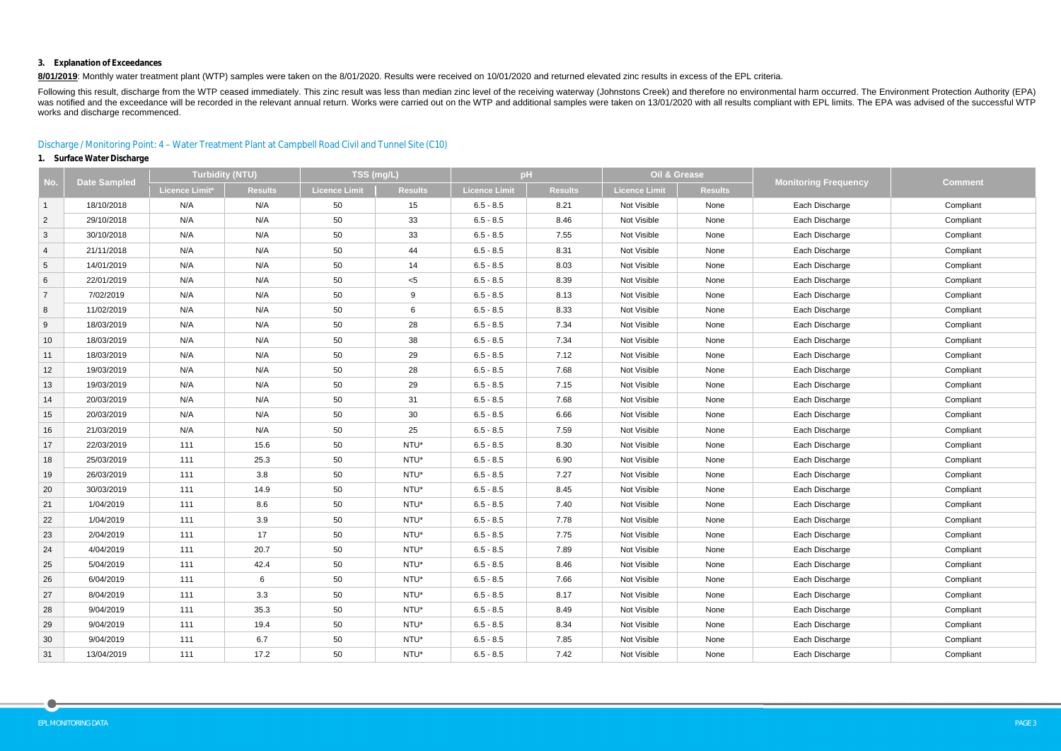#### **3. Explanation of Exceedances**

8/01/2019: Monthly water treatment plant (WTP) samples were taken on the 8/01/2020. Results were received on 10/01/2020 and returned elevated zinc results in excess of the EPL criteria.

Following this result, discharge from the WTP ceased immediately. This zinc result was less than median zinc level of the receiving waterway (Johnstons Creek) and therefore no environmental harm occurred. The Environment P was notified and the exceedance will be recorded in the relevant annual return. Works were carried out on the WTP and additional samples were taken on 13/01/2020 with all results compliant with EPL limits. The EPA was advi works and discharge recommenced.

## Discharge / Monitoring Point: 4 – Water Treatment Plant at Campbell Road Civil and Tunnel Site (C10)

## **1. Surface Water Discharge**

| No.            | <b>Date Sampled</b> | <b>Turbidity (NTU)</b> |                | TSS (mg/L)    |                | pH            |                | Oil & Grease  |                | <b>Monitoring Frequency</b> | <b>Comment</b> |
|----------------|---------------------|------------------------|----------------|---------------|----------------|---------------|----------------|---------------|----------------|-----------------------------|----------------|
|                |                     | <b>Licence Limit*</b>  | <b>Results</b> | Licence Limit | <b>Results</b> | Licence Limit | <b>Results</b> | Licence Limit | <b>Results</b> |                             |                |
| $\mathbf{1}$   | 18/10/2018          | N/A                    | N/A            | 50            | 15             | $6.5 - 8.5$   | 8.21           | Not Visible   | None           | Each Discharge              | Compliant      |
| $\overline{2}$ | 29/10/2018          | N/A                    | N/A            | 50            | 33             | $6.5 - 8.5$   | 8.46           | Not Visible   | None           | Each Discharge              | Compliant      |
| 3              | 30/10/2018          | N/A                    | N/A            | 50            | 33             | $6.5 - 8.5$   | 7.55           | Not Visible   | None           | Each Discharge              | Compliant      |
| $\overline{4}$ | 21/11/2018          | N/A                    | N/A            | 50            | 44             | $6.5 - 8.5$   | 8.31           | Not Visible   | None           | Each Discharge              | Compliant      |
| 5 <sup>5</sup> | 14/01/2019          | N/A                    | N/A            | 50            | 14             | $6.5 - 8.5$   | 8.03           | Not Visible   | None           | Each Discharge              | Compliant      |
| 6              | 22/01/2019          | N/A                    | N/A            | 50            | $<$ 5          | $6.5 - 8.5$   | 8.39           | Not Visible   | None           | Each Discharge              | Compliant      |
| $\overline{7}$ | 7/02/2019           | N/A                    | N/A            | 50            | 9              | $6.5 - 8.5$   | 8.13           | Not Visible   | None           | Each Discharge              | Compliant      |
| 8              | 11/02/2019          | N/A                    | N/A            | 50            | 6              | $6.5 - 8.5$   | 8.33           | Not Visible   | None           | Each Discharge              | Compliant      |
| 9              | 18/03/2019          | N/A                    | N/A            | 50            | 28             | $6.5 - 8.5$   | 7.34           | Not Visible   | None           | Each Discharge              | Compliant      |
| 10             | 18/03/2019          | N/A                    | N/A            | 50            | 38             | $6.5 - 8.5$   | 7.34           | Not Visible   | None           | Each Discharge              | Compliant      |
| 11             | 18/03/2019          | N/A                    | N/A            | 50            | 29             | $6.5 - 8.5$   | 7.12           | Not Visible   | None           | Each Discharge              | Compliant      |
| 12             | 19/03/2019          | N/A                    | N/A            | 50            | 28             | $6.5 - 8.5$   | 7.68           | Not Visible   | None           | Each Discharge              | Compliant      |
| 13             | 19/03/2019          | N/A                    | N/A            | 50            | 29             | $6.5 - 8.5$   | 7.15           | Not Visible   | None           | Each Discharge              | Compliant      |
| 14             | 20/03/2019          | N/A                    | N/A            | 50            | 31             | $6.5 - 8.5$   | 7.68           | Not Visible   | None           | Each Discharge              | Compliant      |
| 15             | 20/03/2019          | N/A                    | N/A            | 50            | 30             | $6.5 - 8.5$   | 6.66           | Not Visible   | None           | Each Discharge              | Compliant      |
| 16             | 21/03/2019          | N/A                    | N/A            | 50            | 25             | $6.5 - 8.5$   | 7.59           | Not Visible   | None           | Each Discharge              | Compliant      |
| 17             | 22/03/2019          | 111                    | 15.6           | 50            | NTU*           | $6.5 - 8.5$   | 8.30           | Not Visible   | None           | Each Discharge              | Compliant      |
| 18             | 25/03/2019          | 111                    | 25.3           | 50            | NTU*           | $6.5 - 8.5$   | 6.90           | Not Visible   | None           | Each Discharge              | Compliant      |
| 19             | 26/03/2019          | 111                    | 3.8            | 50            | NTU*           | $6.5 - 8.5$   | 7.27           | Not Visible   | None           | Each Discharge              | Compliant      |
| 20             | 30/03/2019          | 111                    | 14.9           | 50            | NTU*           | $6.5 - 8.5$   | 8.45           | Not Visible   | None           | Each Discharge              | Compliant      |
| 21             | 1/04/2019           | 111                    | 8.6            | 50            | NTU*           | $6.5 - 8.5$   | 7.40           | Not Visible   | None           | Each Discharge              | Compliant      |
| 22             | 1/04/2019           | 111                    | 3.9            | 50            | NTU*           | $6.5 - 8.5$   | 7.78           | Not Visible   | None           | Each Discharge              | Compliant      |
| 23             | 2/04/2019           | 111                    | 17             | 50            | NTU*           | $6.5 - 8.5$   | 7.75           | Not Visible   | None           | Each Discharge              | Compliant      |
| 24             | 4/04/2019           | 111                    | 20.7           | 50            | NTU*           | $6.5 - 8.5$   | 7.89           | Not Visible   | None           | Each Discharge              | Compliant      |
| 25             | 5/04/2019           | 111                    | 42.4           | 50            | NTU*           | $6.5 - 8.5$   | 8.46           | Not Visible   | None           | Each Discharge              | Compliant      |
| 26             | 6/04/2019           | 111                    | 6              | 50            | NTU*           | $6.5 - 8.5$   | 7.66           | Not Visible   | None           | Each Discharge              | Compliant      |
| 27             | 8/04/2019           | 111                    | 3.3            | 50            | NTU*           | $6.5 - 8.5$   | 8.17           | Not Visible   | None           | Each Discharge              | Compliant      |
| 28             | 9/04/2019           | 111                    | 35.3           | 50            | NTU*           | $6.5 - 8.5$   | 8.49           | Not Visible   | None           | Each Discharge              | Compliant      |
| 29             | 9/04/2019           | 111                    | 19.4           | 50            | NTU*           | $6.5 - 8.5$   | 8.34           | Not Visible   | None           | Each Discharge              | Compliant      |
| 30             | 9/04/2019           | 111                    | 6.7            | 50            | NTU*           | $6.5 - 8.5$   | 7.85           | Not Visible   | None           | Each Discharge              | Compliant      |
| 31             | 13/04/2019          | 111                    | 17.2           | 50            | NTU*           | $6.5 - 8.5$   | 7.42           | Not Visible   | None           | Each Discharge              | Compliant      |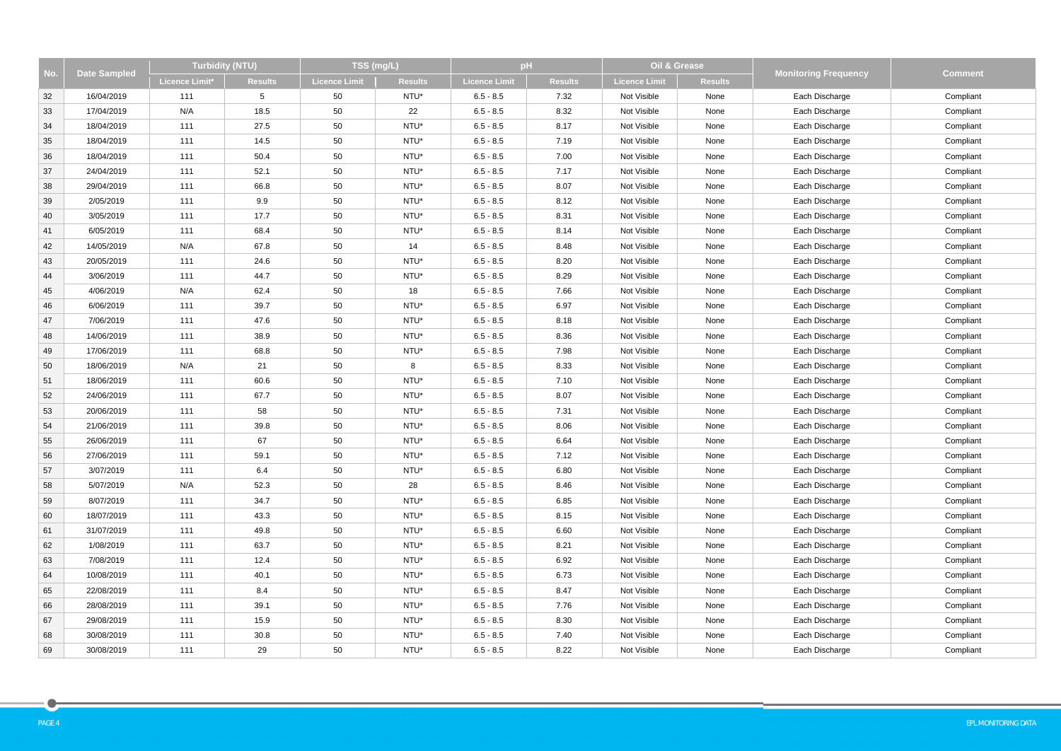| No. |                     | <b>Turbidity (NTU)</b> |                | TSS (mg/L)    |                | pH                   |                |                      | Oil & Grease   |                             |                |
|-----|---------------------|------------------------|----------------|---------------|----------------|----------------------|----------------|----------------------|----------------|-----------------------------|----------------|
|     | <b>Date Sampled</b> | <b>Licence Limit*</b>  | <b>Results</b> | Licence Limit | <b>Results</b> | <b>Licence Limit</b> | <b>Results</b> | <b>Licence Limit</b> | <b>Results</b> | <b>Monitoring Frequency</b> | <b>Comment</b> |
| 32  | 16/04/2019          | 111                    | $5^{\circ}$    | 50            | NTU*           | $6.5 - 8.5$          | 7.32           | Not Visible          | None           | Each Discharge              | Compliant      |
| 33  | 17/04/2019          | N/A                    | 18.5           | 50            | 22             | $6.5 - 8.5$          | 8.32           | Not Visible          | None           | Each Discharge              | Compliant      |
| 34  | 18/04/2019          | 111                    | 27.5           | 50            | NTU*           | $6.5 - 8.5$          | 8.17           | Not Visible          | None           | Each Discharge              | Compliant      |
| 35  | 18/04/2019          | 111                    | 14.5           | 50            | NTU*           | $6.5 - 8.5$          | 7.19           | Not Visible          | None           | Each Discharge              | Compliant      |
| 36  | 18/04/2019          | 111                    | 50.4           | 50            | NTU*           | $6.5 - 8.5$          | 7.00           | Not Visible          | None           | Each Discharge              | Compliant      |
| 37  | 24/04/2019          | 111                    | 52.1           | 50            | NTU*           | $6.5 - 8.5$          | 7.17           | Not Visible          | None           | Each Discharge              | Compliant      |
| 38  | 29/04/2019          | 111                    | 66.8           | 50            | NTU*           | $6.5 - 8.5$          | 8.07           | Not Visible          | None           | Each Discharge              | Compliant      |
| 39  | 2/05/2019           | 111                    | 9.9            | 50            | NTU*           | $6.5 - 8.5$          | 8.12           | Not Visible          | None           | Each Discharge              | Compliant      |
| 40  | 3/05/2019           | 111                    | 17.7           | 50            | NTU*           | $6.5 - 8.5$          | 8.31           | Not Visible          | None           | Each Discharge              | Compliant      |
| 41  | 6/05/2019           | 111                    | 68.4           | 50            | NTU*           | $6.5 - 8.5$          | 8.14           | Not Visible          | None           | Each Discharge              | Compliant      |
| 42  | 14/05/2019          | N/A                    | 67.8           | 50            | 14             | $6.5 - 8.5$          | 8.48           | Not Visible          | None           | Each Discharge              | Compliant      |
| 43  | 20/05/2019          | 111                    | 24.6           | 50            | NTU*           | $6.5 - 8.5$          | 8.20           | Not Visible          | None           | Each Discharge              | Compliant      |
| 44  | 3/06/2019           | 111                    | 44.7           | 50            | NTU*           | $6.5 - 8.5$          | 8.29           | Not Visible          | None           | Each Discharge              | Compliant      |
| 45  | 4/06/2019           | N/A                    | 62.4           | 50            | 18             | $6.5 - 8.5$          | 7.66           | Not Visible          | None           | Each Discharge              | Compliant      |
| 46  | 6/06/2019           | 111                    | 39.7           | 50            | NTU*           | $6.5 - 8.5$          | 6.97           | Not Visible          | None           | Each Discharge              | Compliant      |
| 47  | 7/06/2019           | 111                    | 47.6           | 50            | NTU*           | $6.5 - 8.5$          | 8.18           | Not Visible          | None           | Each Discharge              | Compliant      |
| 48  | 14/06/2019          | 111                    | 38.9           | 50            | NTU*           | $6.5 - 8.5$          | 8.36           | Not Visible          | None           | Each Discharge              | Compliant      |
| 49  | 17/06/2019          | 111                    | 68.8           | 50            | NTU*           | $6.5 - 8.5$          | 7.98           | Not Visible          | None           | Each Discharge              | Compliant      |
| 50  | 18/06/2019          | N/A                    | 21             | 50            | 8              | $6.5 - 8.5$          | 8.33           | Not Visible          | None           | Each Discharge              | Compliant      |
| 51  | 18/06/2019          | 111                    | 60.6           | 50            | NTU*           | $6.5 - 8.5$          | 7.10           | Not Visible          | None           | Each Discharge              | Compliant      |
| 52  | 24/06/2019          | 111                    | 67.7           | 50            | NTU*           | $6.5 - 8.5$          | 8.07           | Not Visible          | None           | Each Discharge              | Compliant      |
| 53  | 20/06/2019          | 111                    | 58             | 50            | NTU*           | $6.5 - 8.5$          | 7.31           | Not Visible          | None           | Each Discharge              | Compliant      |
| 54  | 21/06/2019          | 111                    | 39.8           | 50            | NTU*           | $6.5 - 8.5$          | 8.06           | Not Visible          | None           | Each Discharge              | Compliant      |
| 55  | 26/06/2019          | 111                    | 67             | 50            | NTU*           | $6.5 - 8.5$          | 6.64           | Not Visible          | None           | Each Discharge              | Compliant      |
| 56  | 27/06/2019          | 111                    | 59.1           | 50            | NTU*           | $6.5 - 8.5$          | 7.12           | Not Visible          | None           | Each Discharge              | Compliant      |
| 57  | 3/07/2019           | 111                    | 6.4            | 50            | NTU*           | $6.5 - 8.5$          | 6.80           | Not Visible          | None           | Each Discharge              | Compliant      |
| 58  | 5/07/2019           | N/A                    | 52.3           | 50            | 28             | $6.5 - 8.5$          | 8.46           | Not Visible          | None           | Each Discharge              | Compliant      |
| 59  | 8/07/2019           | 111                    | 34.7           | 50            | NTU*           | $6.5 - 8.5$          | 6.85           | Not Visible          | None           | Each Discharge              | Compliant      |
| 60  | 18/07/2019          | 111                    | 43.3           | 50            | NTU*           | $6.5 - 8.5$          | 8.15           | Not Visible          | None           | Each Discharge              | Compliant      |
| 61  | 31/07/2019          | 111                    | 49.8           | 50            | NTU*           | $6.5 - 8.5$          | 6.60           | Not Visible          | None           | Each Discharge              | Compliant      |
| 62  | 1/08/2019           | 111                    | 63.7           | 50            | NTU*           | $6.5 - 8.5$          | 8.21           | Not Visible          | None           | Each Discharge              | Compliant      |
| 63  | 7/08/2019           | 111                    | 12.4           | 50            | NTU*           | $6.5 - 8.5$          | 6.92           | Not Visible          | None           | Each Discharge              | Compliant      |
| 64  | 10/08/2019          | 111                    | 40.1           | 50            | NTU*           | $6.5 - 8.5$          | 6.73           | Not Visible          | None           | Each Discharge              | Compliant      |
| 65  | 22/08/2019          | 111                    | 8.4            | 50            | NTU*           | $6.5 - 8.5$          | 8.47           | Not Visible          | None           | Each Discharge              | Compliant      |
| 66  | 28/08/2019          | 111                    | 39.1           | 50            | NTU*           | $6.5 - 8.5$          | 7.76           | Not Visible          | None           | Each Discharge              | Compliant      |
| 67  | 29/08/2019          | 111                    | 15.9           | 50            | NTU*           | $6.5 - 8.5$          | 8.30           | Not Visible          | None           | Each Discharge              | Compliant      |
| 68  | 30/08/2019          | 111                    | 30.8           | 50            | NTU*           | $6.5 - 8.5$          | 7.40           | Not Visible          | None           | Each Discharge              | Compliant      |
| 69  | 30/08/2019          | 111                    | 29             | 50            | NTU*           | $6.5 - 8.5$          | 8.22           | Not Visible          | None           | Each Discharge              | Compliant      |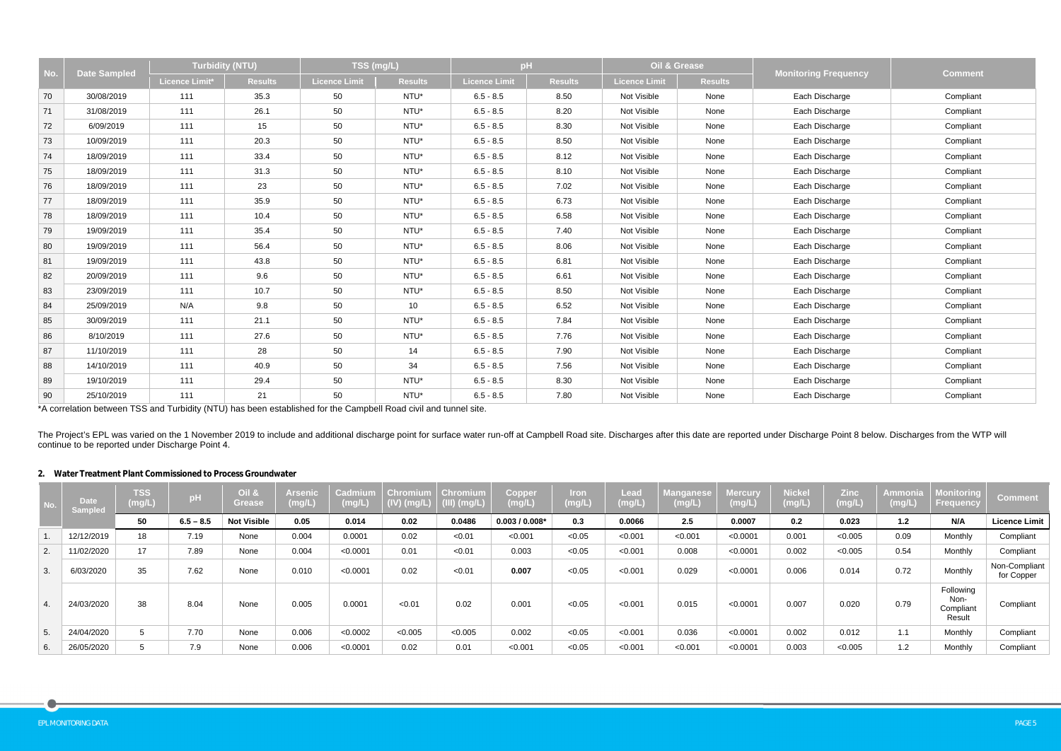| No. | <b>Date Sampled</b> | <b>Turbidity (NTU)</b> |                | TSS (mg/L)    |                | pH            |                | Oil & Grease  |                | <b>Monitoring Frequency</b> | <b>Comment</b> |
|-----|---------------------|------------------------|----------------|---------------|----------------|---------------|----------------|---------------|----------------|-----------------------------|----------------|
|     |                     | <b>Licence Limit*</b>  | <b>Results</b> | Licence Limit | <b>Results</b> | Licence Limit | <b>Results</b> | Licence Limit | <b>Results</b> |                             |                |
| 70  | 30/08/2019          | 111                    | 35.3           | 50            | NTU*           | $6.5 - 8.5$   | 8.50           | Not Visible   | None           | Each Discharge              | Compliant      |
| 71  | 31/08/2019          | 111                    | 26.1           | 50            | NTU*           | $6.5 - 8.5$   | 8.20           | Not Visible   | None           | Each Discharge              | Compliant      |
| 72  | 6/09/2019           | 111                    | 15             | 50            | NTU*           | $6.5 - 8.5$   | 8.30           | Not Visible   | None           | Each Discharge              | Compliant      |
| 73  | 10/09/2019          | 111                    | 20.3           | 50            | NTU*           | $6.5 - 8.5$   | 8.50           | Not Visible   | None           | Each Discharge              | Compliant      |
| 74  | 18/09/2019          | 111                    | 33.4           | 50            | NTU*           | $6.5 - 8.5$   | 8.12           | Not Visible   | None           | Each Discharge              | Compliant      |
| 75  | 18/09/2019          | 111                    | 31.3           | 50            | NTU*           | $6.5 - 8.5$   | 8.10           | Not Visible   | None           | Each Discharge              | Compliant      |
| 76  | 18/09/2019          | 111                    | 23             | 50            | NTU*           | $6.5 - 8.5$   | 7.02           | Not Visible   | None           | Each Discharge              | Compliant      |
| 77  | 18/09/2019          | 111                    | 35.9           | 50            | NTU*           | $6.5 - 8.5$   | 6.73           | Not Visible   | None           | Each Discharge              | Compliant      |
| 78  | 18/09/2019          | 111                    | 10.4           | 50            | NTU*           | $6.5 - 8.5$   | 6.58           | Not Visible   | None           | Each Discharge              | Compliant      |
| 79  | 19/09/2019          | 111                    | 35.4           | 50            | NTU*           | $6.5 - 8.5$   | 7.40           | Not Visible   | None           | Each Discharge              | Compliant      |
| 80  | 19/09/2019          | 111                    | 56.4           | 50            | NTU*           | $6.5 - 8.5$   | 8.06           | Not Visible   | None           | Each Discharge              | Compliant      |
| 81  | 19/09/2019          | 111                    | 43.8           | 50            | NTU*           | $6.5 - 8.5$   | 6.81           | Not Visible   | None           | Each Discharge              | Compliant      |
| 82  | 20/09/2019          | 111                    | 9.6            | 50            | NTU*           | $6.5 - 8.5$   | 6.61           | Not Visible   | None           | Each Discharge              | Compliant      |
| 83  | 23/09/2019          | 111                    | 10.7           | 50            | NTU*           | $6.5 - 8.5$   | 8.50           | Not Visible   | None           | Each Discharge              | Compliant      |
| 84  | 25/09/2019          | N/A                    | 9.8            | 50            | 10             | $6.5 - 8.5$   | 6.52           | Not Visible   | None           | Each Discharge              | Compliant      |
| 85  | 30/09/2019          | 111                    | 21.1           | 50            | NTU*           | $6.5 - 8.5$   | 7.84           | Not Visible   | None           | Each Discharge              | Compliant      |
| 86  | 8/10/2019           | 111                    | 27.6           | 50            | NTU*           | $6.5 - 8.5$   | 7.76           | Not Visible   | None           | Each Discharge              | Compliant      |
| 87  | 11/10/2019          | 111                    | 28             | 50            | 14             | $6.5 - 8.5$   | 7.90           | Not Visible   | None           | Each Discharge              | Compliant      |
| 88  | 14/10/2019          | 111                    | 40.9           | 50            | 34             | $6.5 - 8.5$   | 7.56           | Not Visible   | None           | Each Discharge              | Compliant      |
| 89  | 19/10/2019          | 111                    | 29.4           | 50            | NTU*           | $6.5 - 8.5$   | 8.30           | Not Visible   | None           | Each Discharge              | Compliant      |
| 90  | 25/10/2019          | 111                    | 21             | 50            | NTU*           | $6.5 - 8.5$   | 7.80           | Not Visible   | None           | Each Discharge              | Compliant      |

The Project's EPL was varied on the 1 November 2019 to include and additional discharge point for surface water run-off at Campbell Road site. Discharges after this date are reported under Discharge Point 8 below. Discharg continue to be reported under Discharge Point 4.

\*A correlation between TSS and Turbidity (NTU) has been established for the Campbell Road civil and tunnel site.

## **2. Water Treatment Plant Commissioned to Process Groundwater**

| No.                    | <b>Date</b><br><b>Sampled</b> | <b>TSS</b><br>(mg/L) | pH          | Oil &<br><b>Grease</b> | <b>Arsenic</b><br>(mg/L) | <b>Cadmium</b><br>(mg/L) | <b>Chromium</b><br>$(IV)$ (mg/L) | Chromium<br>$(III)$ (mg/L) | <b>Copper</b><br>(mg/L) | Iron<br>(mg/L) | Lead<br>(mg/L) | <b>Manganese</b><br>$\langle$ mg/L $\rangle$ | <b>Mercury</b><br>(mg/L) | <b>Nickel</b><br>(mg/L) | <b>Zinc</b><br>(mg/L) | Ammonia<br>(mg/L) | Monitoring<br>Frequency                  | <b>Comment</b>              |
|------------------------|-------------------------------|----------------------|-------------|------------------------|--------------------------|--------------------------|----------------------------------|----------------------------|-------------------------|----------------|----------------|----------------------------------------------|--------------------------|-------------------------|-----------------------|-------------------|------------------------------------------|-----------------------------|
|                        |                               | 50                   | $6.5 - 8.5$ | <b>Not Visible</b>     | 0.05                     | 0.014                    | 0.02                             | 0.0486                     | $0.003/0.008*$          | 0.3            | 0.0066         | 2.5                                          | 0.0007                   | 0.2                     | 0.023                 | $1.2$             | N/A                                      | <b>Licence Limit</b>        |
|                        | 12/12/2019                    | 18                   | 7.19        | None                   | 0.004                    | 0.0001                   | 0.02                             | < 0.01                     | < 0.001                 | < 0.05         | < 0.001        | < 0.001                                      | < 0.0001                 | 0.001                   | < 0.005               | 0.09              | Monthly                                  | Compliant                   |
| 2.                     | 11/02/2020                    | 17                   | 7.89        | None                   | 0.004                    | < 0.0001                 | 0.01                             | < 0.01                     | 0.003                   | < 0.05         | < 0.001        | 0.008                                        | < 0.0001                 | 0.002                   | < 0.005               | 0.54              | Monthly                                  | Compliant                   |
| 3.                     | 6/03/2020                     | 35                   | 7.62        | None                   | 0.010                    | < 0.0001                 | 0.02                             | < 0.01                     | 0.007                   | < 0.05         | < 0.001        | 0.029                                        | < 0.0001                 | 0.006                   | 0.014                 | 0.72              | Monthly                                  | Non-Compliant<br>for Copper |
| $\boldsymbol{\Lambda}$ | 24/03/2020                    | 38                   | 8.04        | None                   | 0.005                    | 0.0001                   | < 0.01                           | 0.02                       | 0.001                   | < 0.05         | < 0.001        | 0.015                                        | < 0.0001                 | 0.007                   | 0.020                 | 0.79              | Following<br>Non-<br>Compliant<br>Result | Compliant                   |
|                        | 24/04/2020                    | 5                    | 7.70        | None                   | 0.006                    | < 0.0002                 | < 0.005                          | < 0.005                    | 0.002                   | < 0.05         | < 0.001        | 0.036                                        | < 0.0001                 | 0.002                   | 0.012                 | 1.1               | Monthly                                  | Compliant                   |
| 6.                     | 26/05/2020                    | 5                    | 7.9         | None                   | 0.006                    | < 0.0001                 | 0.02                             | 0.01                       | < 0.001                 | < 0.05         | < 0.001        | < 0.001                                      | < 0.0001                 | 0.003                   | < 0.005               | 1.2               | Monthly                                  | Compliant                   |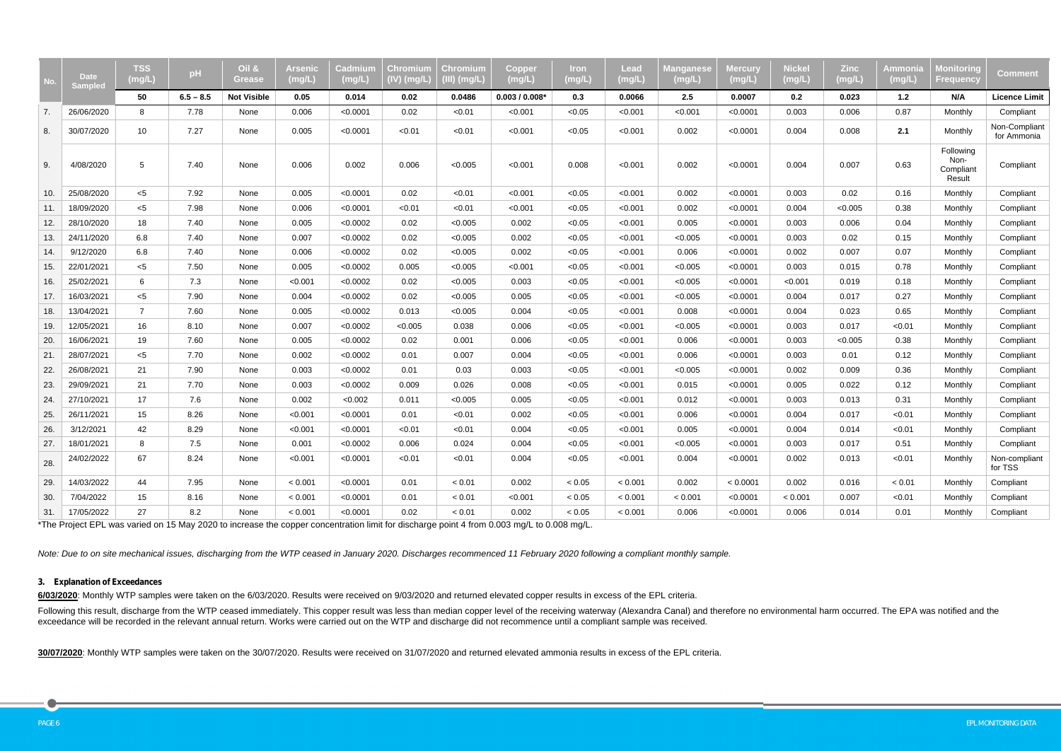| No. | <b>Date</b><br><b>Sampled</b> | <b>TSS</b><br>(mg/L) | pH          | <b>Oil &amp;</b><br><b>Grease</b> | Arsenic<br>(mg/L) | Cadmium<br>(mg/L) | <b>Chromium</b><br>$(IV)$ (mg/L) | <b>Chromium</b><br>$(III)$ (mg/L) | <b>Copper</b><br>(mg/L) | <u>Iron</u><br>(mg/L) | Lead<br>(mg/L) | <b>//</b> langanese<br>(mg/L) | Mercury<br>(mg/L) | <b>Nickel</b><br>(mg/L) | <b>Zinc</b><br>(mg/L) | Ammonia<br>(mg/L) | <b>Monitoring</b><br>Frequency           | <b>Comment</b>               |
|-----|-------------------------------|----------------------|-------------|-----------------------------------|-------------------|-------------------|----------------------------------|-----------------------------------|-------------------------|-----------------------|----------------|-------------------------------|-------------------|-------------------------|-----------------------|-------------------|------------------------------------------|------------------------------|
|     |                               | 50                   | $6.5 - 8.5$ | <b>Not Visible</b>                | 0.05              | 0.014             | 0.02                             | 0.0486                            | $0.003/0.008*$          | 0.3                   | 0.0066         | 2.5                           | 0.0007            | 0.2                     | 0.023                 | 1.2               | N/A                                      | <b>Licence Limit</b>         |
| 7.  | 26/06/2020                    | 8                    | 7.78        | None                              | 0.006             | < 0.0001          | 0.02                             | < 0.01                            | < 0.001                 | < 0.05                | < 0.001        | < 0.001                       | < 0.0001          | 0.003                   | 0.006                 | 0.87              | Monthly                                  | Compliant                    |
| 8.  | 30/07/2020                    | 10                   | 7.27        | None                              | 0.005             | < 0.0001          | < 0.01                           | < 0.01                            | < 0.001                 | < 0.05                | < 0.001        | 0.002                         | < 0.0001          | 0.004                   | 0.008                 | 2.1               | Monthly                                  | Non-Compliant<br>for Ammonia |
| 9.  | 4/08/2020                     | 5                    | 7.40        | None                              | 0.006             | 0.002             | 0.006                            | < 0.005                           | < 0.001                 | 0.008                 | < 0.001        | 0.002                         | < 0.0001          | 0.004                   | 0.007                 | 0.63              | Following<br>Non-<br>Compliant<br>Result | Compliant                    |
| 10. | 25/08/2020                    | $5$                  | 7.92        | None                              | 0.005             | < 0.0001          | 0.02                             | < 0.01                            | < 0.001                 | < 0.05                | < 0.001        | 0.002                         | < 0.0001          | 0.003                   | 0.02                  | 0.16              | Monthly                                  | Compliant                    |
| 11. | 18/09/2020                    | $<$ 5                | 7.98        | None                              | 0.006             | < 0.0001          | < 0.01                           | < 0.01                            | < 0.001                 | < 0.05                | < 0.001        | 0.002                         | < 0.0001          | 0.004                   | < 0.005               | 0.38              | Monthly                                  | Compliant                    |
| 12. | 28/10/2020                    | 18                   | 7.40        | None                              | 0.005             | < 0.0002          | 0.02                             | < 0.005                           | 0.002                   | < 0.05                | < 0.001        | 0.005                         | < 0.0001          | 0.003                   | 0.006                 | 0.04              | Monthly                                  | Compliant                    |
| 13. | 24/11/2020                    | 6.8                  | 7.40        | None                              | 0.007             | < 0.0002          | 0.02                             | < 0.005                           | 0.002                   | < 0.05                | < 0.001        | < 0.005                       | < 0.0001          | 0.003                   | 0.02                  | 0.15              | Monthly                                  | Compliant                    |
| 14. | 9/12/2020                     | 6.8                  | 7.40        | None                              | 0.006             | < 0.0002          | 0.02                             | < 0.005                           | 0.002                   | < 0.05                | < 0.001        | 0.006                         | < 0.0001          | 0.002                   | 0.007                 | 0.07              | Monthly                                  | Compliant                    |
| 15. | 22/01/2021                    | $<$ 5                | 7.50        | None                              | 0.005             | < 0.0002          | 0.005                            | < 0.005                           | < 0.001                 | < 0.05                | < 0.001        | < 0.005                       | < 0.0001          | 0.003                   | 0.015                 | 0.78              | Monthly                                  | Compliant                    |
| 16. | 25/02/2021                    | 6                    | 7.3         | None                              | < 0.001           | < 0.0002          | 0.02                             | < 0.005                           | 0.003                   | < 0.05                | < 0.001        | < 0.005                       | < 0.0001          | < 0.001                 | 0.019                 | 0.18              | Monthly                                  | Compliant                    |
| 17. | 16/03/2021                    | $<$ 5                | 7.90        | None                              | 0.004             | < 0.0002          | 0.02                             | < 0.005                           | 0.005                   | < 0.05                | < 0.001        | < 0.005                       | < 0.0001          | 0.004                   | 0.017                 | 0.27              | Monthly                                  | Compliant                    |
| 18. | 13/04/2021                    | $\overline{7}$       | 7.60        | None                              | 0.005             | < 0.0002          | 0.013                            | < 0.005                           | 0.004                   | < 0.05                | < 0.001        | 0.008                         | < 0.0001          | 0.004                   | 0.023                 | 0.65              | Monthly                                  | Compliant                    |
| 19. | 12/05/2021                    | 16                   | 8.10        | None                              | 0.007             | < 0.0002          | < 0.005                          | 0.038                             | 0.006                   | < 0.05                | < 0.001        | < 0.005                       | < 0.0001          | 0.003                   | 0.017                 | < 0.01            | Monthly                                  | Compliant                    |
| 20. | 16/06/2021                    | 19                   | 7.60        | None                              | 0.005             | < 0.0002          | 0.02                             | 0.001                             | 0.006                   | < 0.05                | < 0.001        | 0.006                         | < 0.0001          | 0.003                   | < 0.005               | 0.38              | Monthly                                  | Compliant                    |
| 21. | 28/07/2021                    | $< 5$                | 7.70        | None                              | 0.002             | < 0.0002          | 0.01                             | 0.007                             | 0.004                   | < 0.05                | < 0.001        | 0.006                         | < 0.0001          | 0.003                   | 0.01                  | 0.12              | Monthly                                  | Compliant                    |
| 22. | 26/08/2021                    | 21                   | 7.90        | None                              | 0.003             | < 0.0002          | 0.01                             | 0.03                              | 0.003                   | < 0.05                | < 0.001        | < 0.005                       | < 0.0001          | 0.002                   | 0.009                 | 0.36              | Monthly                                  | Compliant                    |
| 23. | 29/09/2021                    | 21                   | 7.70        | None                              | 0.003             | < 0.0002          | 0.009                            | 0.026                             | 0.008                   | < 0.05                | < 0.001        | 0.015                         | < 0.0001          | 0.005                   | 0.022                 | 0.12              | Monthly                                  | Compliant                    |
| 24. | 27/10/2021                    | 17                   | 7.6         | None                              | 0.002             | < 0.002           | 0.011                            | < 0.005                           | 0.005                   | < 0.05                | < 0.001        | 0.012                         | < 0.0001          | 0.003                   | 0.013                 | 0.31              | Monthly                                  | Compliant                    |
| 25. | 26/11/2021                    | 15                   | 8.26        | None                              | < 0.001           | < 0.0001          | 0.01                             | < 0.01                            | 0.002                   | < 0.05                | < 0.001        | 0.006                         | < 0.0001          | 0.004                   | 0.017                 | < 0.01            | Monthly                                  | Compliant                    |
| 26. | 3/12/2021                     | 42                   | 8.29        | None                              | < 0.001           | < 0.0001          | < 0.01                           | < 0.01                            | 0.004                   | < 0.05                | < 0.001        | 0.005                         | < 0.0001          | 0.004                   | 0.014                 | < 0.01            | Monthly                                  | Compliant                    |
| 27. | 18/01/2021                    | 8                    | 7.5         | None                              | 0.001             | < 0.0002          | 0.006                            | 0.024                             | 0.004                   | < 0.05                | < 0.001        | < 0.005                       | < 0.0001          | 0.003                   | 0.017                 | 0.51              | Monthly                                  | Compliant                    |
| 28. | 24/02/2022                    | 67                   | 8.24        | None                              | < 0.001           | < 0.0001          | < 0.01                           | < 0.01                            | 0.004                   | < 0.05                | < 0.001        | 0.004                         | < 0.0001          | 0.002                   | 0.013                 | < 0.01            | Monthly                                  | Non-compliant<br>for TSS     |
| 29. | 14/03/2022                    | 44                   | 7.95        | None                              | < 0.001           | < 0.0001          | 0.01                             | < 0.01                            | 0.002                   | < 0.05                | < 0.001        | 0.002                         | < 0.0001          | 0.002                   | 0.016                 | < 0.01            | Monthly                                  | Compliant                    |
| 30. | 7/04/2022                     | 15                   | 8.16        | None                              | < 0.001           | < 0.0001          | 0.01                             | < 0.01                            | < 0.001                 | < 0.05                | < 0.001        | < 0.001                       | < 0.0001          | < 0.001                 | 0.007                 | < 0.01            | Monthly                                  | Compliant                    |
| 31. | 17/05/2022                    | 27                   | 8.2         | None                              | < 0.001           | < 0.0001          | 0.02                             | < 0.01                            | 0.002                   | < 0.05                | < 0.001        | 0.006                         | < 0.0001          | 0.006                   | 0.014                 | 0.01              | Monthly                                  | Compliant                    |

\*The Project EPL was varied on 15 May 2020 to increase the copper concentration limit for discharge point 4 from 0.003 mg/L to 0.008 mg/L.

Following this result, discharge from the WTP ceased immediately. This copper result was less than median copper level of the receiving waterway (Alexandra Canal) and therefore no environmental harm occurred. The EPA was n exceedance will be recorded in the relevant annual return. Works were carried out on the WTP and discharge did not recommence until a compliant sample was received.

*Note: Due to on site mechanical issues, discharging from the WTP ceased in January 2020. Discharges recommenced 11 February 2020 following a compliant monthly sample.*

#### **3. Explanation of Exceedances**

**6/03/2020**: Monthly WTP samples were taken on the 6/03/2020. Results were received on 9/03/2020 and returned elevated copper results in excess of the EPL criteria.

**30/07/2020**: Monthly WTP samples were taken on the 30/07/2020. Results were received on 31/07/2020 and returned elevated ammonia results in excess of the EPL criteria.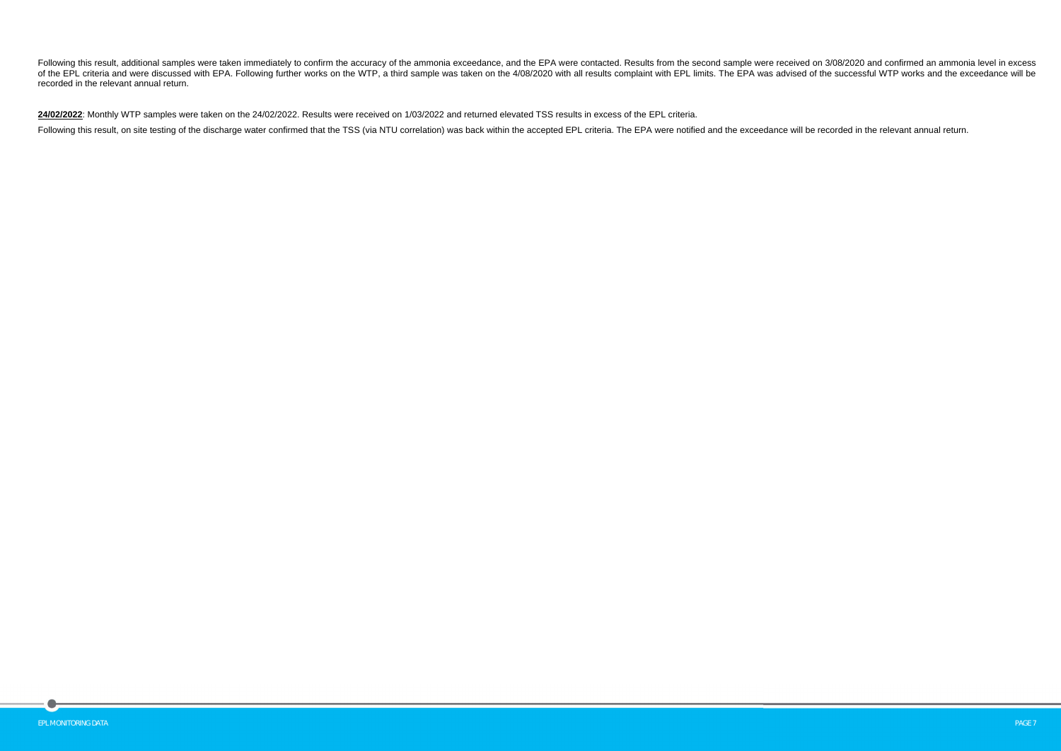Following this result, additional samples were taken immediately to confirm the accuracy of the ammonia exceedance, and the EPA were contacted. Results from the second sample were received on 3/08/2020 and confirmed an amm of the EPL criteria and were discussed with EPA. Following further works on the WTP, a third sample was taken on the 4/08/2020 with all results complaint with EPL limits. The EPA was advised of the successful WTP works and recorded in the relevant annual return.

**24/02/2022**: Monthly WTP samples were taken on the 24/02/2022. Results were received on 1/03/2022 and returned elevated TSS results in excess of the EPL criteria.

Following this result, on site testing of the discharge water confirmed that the TSS (via NTU correlation) was back within the accepted EPL criteria. The EPA were notified and the exceedance will be recorded in the relevan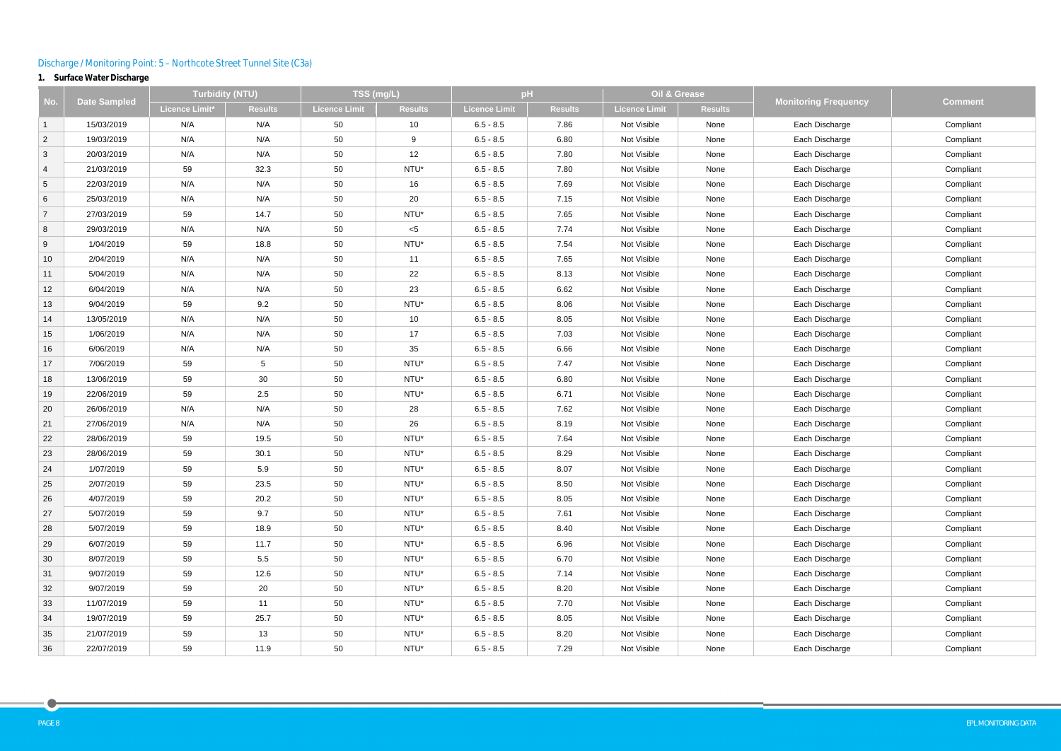# Discharge / Monitoring Point: 5 – Northcote Street Tunnel Site (C3a)

# **1. Surface Water Discharge**

|                |                     | <b>Turbidity (NTU)</b> |                | TSS (mg/L)           |                | pH            |                | Oil & Grease         |                |                             |                |
|----------------|---------------------|------------------------|----------------|----------------------|----------------|---------------|----------------|----------------------|----------------|-----------------------------|----------------|
| No.            | <b>Date Sampled</b> | Licence Limit*         | <b>Results</b> | <b>Licence Limit</b> | <b>Results</b> | Licence Limit | <b>Results</b> | <b>Licence Limit</b> | <b>Results</b> | <b>Monitoring Frequency</b> | <b>Comment</b> |
| $\overline{1}$ | 15/03/2019          | N/A                    | N/A            | 50                   | 10             | $6.5 - 8.5$   | 7.86           | Not Visible          | None           | Each Discharge              | Compliant      |
| $\overline{2}$ | 19/03/2019          | N/A                    | N/A            | 50                   | 9              | $6.5 - 8.5$   | 6.80           | Not Visible          | None           | Each Discharge              | Compliant      |
| $\mathbf{3}$   | 20/03/2019          | N/A                    | N/A            | 50                   | 12             | $6.5 - 8.5$   | 7.80           | Not Visible          | None           | Each Discharge              | Compliant      |
| $\overline{4}$ | 21/03/2019          | 59                     | 32.3           | 50                   | NTU*           | $6.5 - 8.5$   | 7.80           | Not Visible          | None           | Each Discharge              | Compliant      |
| $\sqrt{5}$     | 22/03/2019          | N/A                    | N/A            | 50                   | 16             | $6.5 - 8.5$   | 7.69           | Not Visible          | None           | Each Discharge              | Compliant      |
| $\,6\,$        | 25/03/2019          | N/A                    | N/A            | 50                   | 20             | $6.5 - 8.5$   | 7.15           | Not Visible          | None           | Each Discharge              | Compliant      |
| $\overline{7}$ | 27/03/2019          | 59                     | 14.7           | 50                   | NTU*           | $6.5 - 8.5$   | 7.65           | Not Visible          | None           | Each Discharge              | Compliant      |
| 8              | 29/03/2019          | N/A                    | N/A            | 50                   | $<$ 5          | $6.5 - 8.5$   | 7.74           | Not Visible          | None           | Each Discharge              | Compliant      |
| 9              | 1/04/2019           | 59                     | 18.8           | 50                   | NTU*           | $6.5 - 8.5$   | 7.54           | Not Visible          | None           | Each Discharge              | Compliant      |
| 10             | 2/04/2019           | N/A                    | N/A            | 50                   | 11             | $6.5 - 8.5$   | 7.65           | Not Visible          | None           | Each Discharge              | Compliant      |
| 11             | 5/04/2019           | N/A                    | N/A            | 50                   | 22             | $6.5 - 8.5$   | 8.13           | Not Visible          | None           | Each Discharge              | Compliant      |
| 12             | 6/04/2019           | N/A                    | N/A            | 50                   | 23             | $6.5 - 8.5$   | 6.62           | Not Visible          | None           | Each Discharge              | Compliant      |
| 13             | 9/04/2019           | 59                     | 9.2            | 50                   | NTU*           | $6.5 - 8.5$   | 8.06           | Not Visible          | None           | Each Discharge              | Compliant      |
| 14             | 13/05/2019          | N/A                    | N/A            | 50                   | 10             | $6.5 - 8.5$   | 8.05           | Not Visible          | None           | Each Discharge              | Compliant      |
| 15             | 1/06/2019           | N/A                    | N/A            | 50                   | 17             | $6.5 - 8.5$   | 7.03           | Not Visible          | None           | Each Discharge              | Compliant      |
| 16             | 6/06/2019           | N/A                    | N/A            | 50                   | 35             | $6.5 - 8.5$   | 6.66           | Not Visible          | None           | Each Discharge              | Compliant      |
| 17             | 7/06/2019           | 59                     | 5              | 50                   | NTU*           | $6.5 - 8.5$   | 7.47           | Not Visible          | None           | Each Discharge              | Compliant      |
| 18             | 13/06/2019          | 59                     | 30             | 50                   | NTU*           | $6.5 - 8.5$   | 6.80           | Not Visible          | None           | Each Discharge              | Compliant      |
| 19             | 22/06/2019          | 59                     | 2.5            | 50                   | NTU*           | $6.5 - 8.5$   | 6.71           | Not Visible          | None           | Each Discharge              | Compliant      |
| 20             | 26/06/2019          | N/A                    | N/A            | 50                   | 28             | $6.5 - 8.5$   | 7.62           | Not Visible          | None           | Each Discharge              | Compliant      |
| 21             | 27/06/2019          | N/A                    | N/A            | 50                   | 26             | $6.5 - 8.5$   | 8.19           | Not Visible          | None           | Each Discharge              | Compliant      |
| 22             | 28/06/2019          | 59                     | 19.5           | 50                   | NTU*           | $6.5 - 8.5$   | 7.64           | Not Visible          | None           | Each Discharge              | Compliant      |
| 23             | 28/06/2019          | 59                     | 30.1           | 50                   | NTU*           | $6.5 - 8.5$   | 8.29           | Not Visible          | None           | Each Discharge              | Compliant      |
| 24             | 1/07/2019           | 59                     | 5.9            | 50                   | NTU*           | $6.5 - 8.5$   | 8.07           | Not Visible          | None           | Each Discharge              | Compliant      |
| 25             | 2/07/2019           | 59                     | 23.5           | 50                   | NTU*           | $6.5 - 8.5$   | 8.50           | Not Visible          | None           | Each Discharge              | Compliant      |
| 26             | 4/07/2019           | 59                     | 20.2           | 50                   | NTU*           | $6.5 - 8.5$   | 8.05           | Not Visible          | None           | Each Discharge              | Compliant      |
| 27             | 5/07/2019           | 59                     | 9.7            | 50                   | NTU*           | $6.5 - 8.5$   | 7.61           | Not Visible          | None           | Each Discharge              | Compliant      |
| 28             | 5/07/2019           | 59                     | 18.9           | 50                   | NTU*           | $6.5 - 8.5$   | 8.40           | Not Visible          | None           | Each Discharge              | Compliant      |
| 29             | 6/07/2019           | 59                     | 11.7           | 50                   | NTU*           | $6.5 - 8.5$   | 6.96           | Not Visible          | None           | Each Discharge              | Compliant      |
| 30             | 8/07/2019           | 59                     | 5.5            | 50                   | NTU*           | $6.5 - 8.5$   | 6.70           | Not Visible          | None           | Each Discharge              | Compliant      |
| 31             | 9/07/2019           | 59                     | 12.6           | 50                   | NTU*           | $6.5 - 8.5$   | 7.14           | Not Visible          | None           | Each Discharge              | Compliant      |
| 32             | 9/07/2019           | 59                     | 20             | 50                   | NTU*           | $6.5 - 8.5$   | 8.20           | Not Visible          | None           | Each Discharge              | Compliant      |
| 33             | 11/07/2019          | 59                     | 11             | 50                   | NTU*           | $6.5 - 8.5$   | 7.70           | Not Visible          | None           | Each Discharge              | Compliant      |
| 34             | 19/07/2019          | 59                     | 25.7           | 50                   | NTU*           | $6.5 - 8.5$   | 8.05           | Not Visible          | None           | Each Discharge              | Compliant      |
| 35             | 21/07/2019          | 59                     | 13             | 50                   | NTU*           | $6.5 - 8.5$   | 8.20           | Not Visible          | None           | Each Discharge              | Compliant      |
| 36             | 22/07/2019          | 59                     | 11.9           | 50                   | NTU*           | $6.5 - 8.5$   | 7.29           | Not Visible          | None           | Each Discharge              | Compliant      |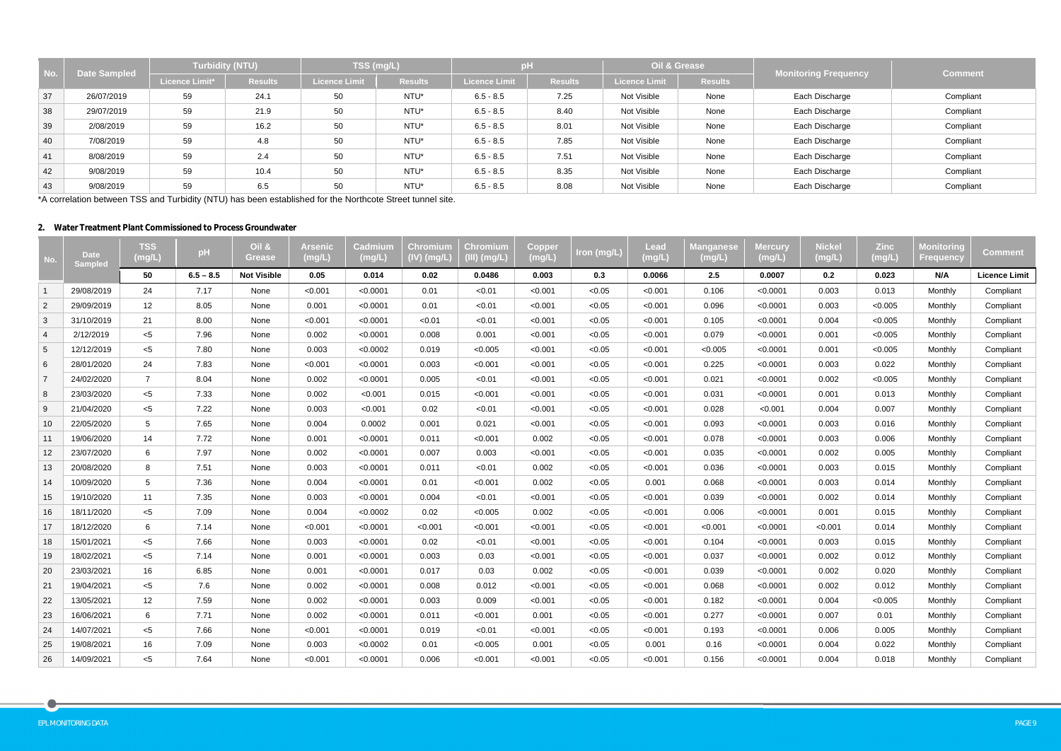| l No.        | <b>Date Sampled</b> |                | <b>Turbidity (NTU)</b> |                      | TSS (mg/L)     | рH                   |                |               | Oil & Grease   | <b>Monitoring Frequency</b> | <b>Comment</b> |
|--------------|---------------------|----------------|------------------------|----------------------|----------------|----------------------|----------------|---------------|----------------|-----------------------------|----------------|
|              |                     | Licence Limit* | <b>Results</b>         | <b>Licence Limit</b> | <b>Results</b> | <b>Licence Limit</b> | <b>Results</b> | Licence Limit | <b>Results</b> |                             |                |
| 37           | 26/07/2019          | 59             | 24.1                   | 50                   | NTU*           | $6.5 - 8.5$          | 7.25           | Not Visible   | None           | Each Discharge              | Compliant      |
| 38           | 29/07/2019          | 59             | 21.9                   | 50                   | NTU*           | $6.5 - 8.5$          | 8.40           | Not Visible   | None           | Each Discharge              | Compliant      |
| 39           | 2/08/2019           | 59             | 16.2                   | 50                   | NTU*           | $6.5 - 8.5$          | 8.01           | Not Visible   | None           | Each Discharge              | Compliant      |
| 40           | 7/08/2019           | 59             | 4.8                    | 50                   | NTU*           | $6.5 - 8.5$          | 7.85           | Not Visible   | None           | Each Discharge              | Compliant      |
| $ 41\rangle$ | 8/08/2019           | 59             | 2.4                    | 50                   | NTU*           | $6.5 - 8.5$          | 7.51           | Not Visible   | None           | Each Discharge              | Compliant      |
| 42           | 9/08/2019           | 59             | 10.4                   | 50                   | NTU*           | $6.5 - 8.5$          | 8.35           | Not Visible   | None           | Each Discharge              | Compliant      |
| 43           | 9/08/2019           | 59             | 6.5                    | 50                   | NTU*           | $6.5 - 8.5$          | 8.08           | Not Visible   | None           | Each Discharge              | Compliant      |

\*A correlation between TSS and Turbidity (NTU) has been established for the Northcote Street tunnel site.

## **2. Water Treatment Plant Commissioned to Process Groundwater**

| No.             | <b>Date</b><br>Sampled | <b>TSS</b><br>(mg/L | pH          | <b>Oil &amp;</b><br>Grease | Arsenic<br>(mg/L) | Cadmium<br>(mg/L) | Chromium<br>(IV) (mg/L) | Chromium<br>(III) (mg/L) | Copper<br>(mg/L) | Iron (mg/L) | <b>Lead</b><br>$(\mathsf{mg/L})$ | <b>Manganese</b><br>(mg/L) | <b>Mercury</b><br>(mg/L) | <b>Nickel</b><br>(mg/L) | <b>Zinc</b><br>(mg/L) | Monitoring<br><b>Frequency</b> | <b>Comment</b>       |
|-----------------|------------------------|---------------------|-------------|----------------------------|-------------------|-------------------|-------------------------|--------------------------|------------------|-------------|----------------------------------|----------------------------|--------------------------|-------------------------|-----------------------|--------------------------------|----------------------|
|                 |                        | 50                  | $6.5 - 8.5$ | <b>Not Visible</b>         | 0.05              | 0.014             | 0.02                    | 0.0486                   | 0.003            | 0.3         | 0.0066                           | 2.5                        | 0.0007                   | 0.2                     | 0.023                 | N/A                            | <b>Licence Limit</b> |
| $\overline{1}$  | 29/08/2019             | 24                  | 7.17        | None                       | < 0.001           | < 0.0001          | 0.01                    | < 0.01                   | < 0.001          | < 0.05      | < 0.001                          | 0.106                      | < 0.0001                 | 0.003                   | 0.013                 | Monthly                        | Compliant            |
| $\overline{2}$  | 29/09/2019             | 12                  | 8.05        | None                       | 0.001             | < 0.0001          | 0.01                    | < 0.01                   | < 0.001          | < 0.05      | < 0.001                          | 0.096                      | < 0.0001                 | 0.003                   | < 0.005               | Monthly                        | Compliant            |
| $\mathbf{3}$    | 31/10/2019             | 21                  | 8.00        | None                       | < 0.001           | < 0.0001          | < 0.01                  | < 0.01                   | < 0.001          | < 0.05      | < 0.001                          | 0.105                      | < 0.0001                 | 0.004                   | < 0.005               | Monthly                        | Compliant            |
| $\overline{4}$  | 2/12/2019              | $< 5$               | 7.96        | None                       | 0.002             | < 0.0001          | 0.008                   | 0.001                    | < 0.001          | < 0.05      | < 0.001                          | 0.079                      | < 0.0001                 | 0.001                   | < 0.005               | Monthly                        | Compliant            |
| $5\phantom{.0}$ | 12/12/2019             | $<$ 5               | 7.80        | None                       | 0.003             | < 0.0002          | 0.019                   | < 0.005                  | < 0.001          | < 0.05      | < 0.001                          | < 0.005                    | < 0.0001                 | 0.001                   | < 0.005               | Monthly                        | Compliant            |
| 6               | 28/01/2020             | 24                  | 7.83        | None                       | < 0.001           | < 0.0001          | 0.003                   | < 0.001                  | < 0.001          | < 0.05      | < 0.001                          | 0.225                      | < 0.0001                 | 0.003                   | 0.022                 | Monthly                        | Compliant            |
| $\overline{7}$  | 24/02/2020             | $\overline{7}$      | 8.04        | None                       | 0.002             | < 0.0001          | 0.005                   | < 0.01                   | < 0.001          | < 0.05      | < 0.001                          | 0.021                      | < 0.0001                 | 0.002                   | < 0.005               | Monthly                        | Compliant            |
| 8               | 23/03/2020             | $< 5$               | 7.33        | None                       | 0.002             | < 0.001           | 0.015                   | < 0.001                  | < 0.001          | < 0.05      | < 0.001                          | 0.031                      | < 0.0001                 | 0.001                   | 0.013                 | Monthly                        | Compliant            |
| 9               | 21/04/2020             | $<$ 5               | 7.22        | None                       | 0.003             | < 0.001           | 0.02                    | < 0.01                   | < 0.001          | < 0.05      | < 0.001                          | 0.028                      | < 0.001                  | 0.004                   | 0.007                 | Monthly                        | Compliant            |
| 10              | 22/05/2020             | 5                   | 7.65        | None                       | 0.004             | 0.0002            | 0.001                   | 0.021                    | < 0.001          | < 0.05      | < 0.001                          | 0.093                      | < 0.0001                 | 0.003                   | 0.016                 | Monthly                        | Compliant            |
| 11              | 19/06/2020             | 14                  | 7.72        | None                       | 0.001             | < 0.0001          | 0.011                   | < 0.001                  | 0.002            | < 0.05      | < 0.001                          | 0.078                      | < 0.0001                 | 0.003                   | 0.006                 | Monthly                        | Compliant            |
| 12              | 23/07/2020             | $6\phantom{.}6$     | 7.97        | None                       | 0.002             | < 0.0001          | 0.007                   | 0.003                    | < 0.001          | < 0.05      | < 0.001                          | 0.035                      | < 0.0001                 | 0.002                   | 0.005                 | Monthly                        | Compliant            |
| 13              | 20/08/2020             | $\, 8$              | 7.51        | None                       | 0.003             | < 0.0001          | 0.011                   | < 0.01                   | 0.002            | < 0.05      | < 0.001                          | 0.036                      | < 0.0001                 | 0.003                   | 0.015                 | Monthly                        | Compliant            |
| 14              | 10/09/2020             | 5                   | 7.36        | None                       | 0.004             | < 0.0001          | 0.01                    | < 0.001                  | 0.002            | < 0.05      | 0.001                            | 0.068                      | < 0.0001                 | 0.003                   | 0.014                 | Monthly                        | Compliant            |
| 15              | 19/10/2020             | 11                  | 7.35        | None                       | 0.003             | < 0.0001          | 0.004                   | < 0.01                   | < 0.001          | < 0.05      | < 0.001                          | 0.039                      | < 0.0001                 | 0.002                   | 0.014                 | Monthly                        | Compliant            |
| 16              | 18/11/2020             | $< 5$               | 7.09        | None                       | 0.004             | < 0.0002          | 0.02                    | < 0.005                  | 0.002            | < 0.05      | < 0.001                          | 0.006                      | < 0.0001                 | 0.001                   | 0.015                 | Monthly                        | Compliant            |
| 17              | 18/12/2020             | $6\phantom{.}6$     | 7.14        | None                       | < 0.001           | < 0.0001          | < 0.001                 | < 0.001                  | < 0.001          | < 0.05      | < 0.001                          | < 0.001                    | < 0.0001                 | < 0.001                 | 0.014                 | Monthly                        | Compliant            |
| 18              | 15/01/2021             | $<$ 5               | 7.66        | None                       | 0.003             | < 0.0001          | 0.02                    | < 0.01                   | < 0.001          | < 0.05      | < 0.001                          | 0.104                      | < 0.0001                 | 0.003                   | 0.015                 | Monthly                        | Compliant            |
| 19              | 18/02/2021             | $< 5$               | 7.14        | None                       | 0.001             | < 0.0001          | 0.003                   | 0.03                     | < 0.001          | < 0.05      | < 0.001                          | 0.037                      | < 0.0001                 | 0.002                   | 0.012                 | Monthly                        | Compliant            |
| 20              | 23/03/2021             | 16                  | 6.85        | None                       | 0.001             | < 0.0001          | 0.017                   | 0.03                     | 0.002            | < 0.05      | < 0.001                          | 0.039                      | < 0.0001                 | 0.002                   | 0.020                 | Monthly                        | Compliant            |
| 21              | 19/04/2021             | $< 5$               | 7.6         | None                       | 0.002             | < 0.0001          | 0.008                   | 0.012                    | < 0.001          | < 0.05      | < 0.001                          | 0.068                      | < 0.0001                 | 0.002                   | 0.012                 | Monthly                        | Compliant            |
| 22              | 13/05/2021             | 12                  | 7.59        | None                       | 0.002             | < 0.0001          | 0.003                   | 0.009                    | < 0.001          | < 0.05      | < 0.001                          | 0.182                      | < 0.0001                 | 0.004                   | < 0.005               | Monthly                        | Compliant            |
| 23              | 16/06/2021             | 6                   | 7.71        | None                       | 0.002             | < 0.0001          | 0.011                   | < 0.001                  | 0.001            | < 0.05      | < 0.001                          | 0.277                      | < 0.0001                 | 0.007                   | 0.01                  | Monthly                        | Compliant            |
| 24              | 14/07/2021             | $< 5$               | 7.66        | None                       | < 0.001           | < 0.0001          | 0.019                   | < 0.01                   | < 0.001          | < 0.05      | < 0.001                          | 0.193                      | < 0.0001                 | 0.006                   | 0.005                 | Monthly                        | Compliant            |
| 25              | 19/08/2021             | 16                  | 7.09        | None                       | 0.003             | < 0.0002          | 0.01                    | < 0.005                  | 0.001            | < 0.05      | 0.001                            | 0.16                       | < 0.0001                 | 0.004                   | 0.022                 | Monthly                        | Compliant            |
| 26              | 14/09/2021             | $<$ 5               | 7.64        | None                       | < 0.001           | < 0.0001          | 0.006                   | < 0.001                  | < 0.001          | < 0.05      | < 0.001                          | 0.156                      | < 0.0001                 | 0.004                   | 0.018                 | Monthly                        | Compliant            |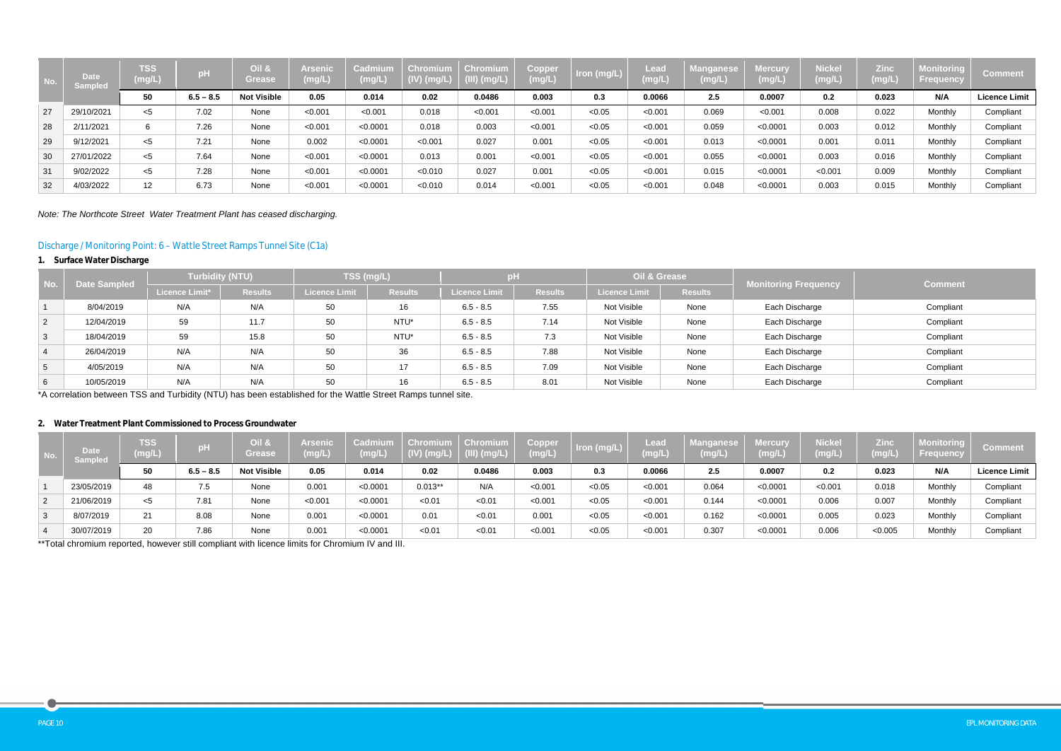| No. | <b>Date</b><br><b>Sampled</b> | <b>TSS</b><br>(mg/L) | pH          | Oil &<br>Grease    | Arsenic<br>(mg/L) | Cadmium<br>(mg/L | <b>Chromium</b><br>$(IV)$ (mg/L) | Chromium<br>$\sqrt{\text{(III)}\text{(mg/L)}}$ | Copper<br>(mg/L) | Iron (mg/L) | Lead<br>$(\mathsf{mg/L})$ | Manganese<br>(mg/L) | Mercurv<br>(mg/L) | <b>Nickel</b><br>(mg/L) | <b>Zinc</b><br>(mg/L) | <b>Monitoring</b><br><b>Frequency</b> | <b>Comment</b>       |
|-----|-------------------------------|----------------------|-------------|--------------------|-------------------|------------------|----------------------------------|------------------------------------------------|------------------|-------------|---------------------------|---------------------|-------------------|-------------------------|-----------------------|---------------------------------------|----------------------|
|     |                               | 50                   | $6.5 - 8.5$ | <b>Not Visible</b> | 0.05              | 0.014            | 0.02                             | 0.0486                                         | 0.003            | 0.3         | 0.0066                    | 2.5                 | 0.0007            | 0.2                     | 0.023                 | N/A                                   | <b>Licence Limit</b> |
| 27  | 29/10/2021                    | $<$ 5                | 7.02        | None               | < 0.001           | < 0.001          | 0.018                            | < 0.001                                        | < 0.001          | < 0.05      | < 0.001                   | 0.069               | < 0.001           | 0.008                   | 0.022                 | Monthly                               | Compliant            |
| 28  | 2/11/2021                     | 6                    | 7.26        | None               | < 0.001           | < 0.0001         | 0.018                            | 0.003                                          | < 0.001          | < 0.05      | < 0.001                   | 0.059               | < 0.0001          | 0.003                   | 0.012                 | Monthly                               | Compliant            |
| 29  | 9/12/2021                     | $<$ 5                | 7.21        | None               | 0.002             | < 0.0001         | < 0.001                          | 0.027                                          | 0.001            | < 0.05      | < 0.001                   | 0.013               | < 0.0001          | 0.001                   | 0.011                 | Monthly                               | Compliant            |
| 30  | 27/01/2022                    | $<$ 5                | 7.64        | None               | < 0.001           | < 0.0001         | 0.013                            | 0.001                                          | < 0.001          | < 0.05      | < 0.001                   | 0.055               | < 0.0001          | 0.003                   | 0.016                 | Monthly                               | Compliant            |
| 31  | 9/02/2022                     | $<$ 5                | 7.28        | None               | < 0.001           | < 0.0001         | < 0.010                          | 0.027                                          | 0.001            | < 0.05      | < 0.001                   | 0.015               | < 0.0001          | < 0.001                 | 0.009                 | Monthly                               | Compliant            |
| 32  | 4/03/2022                     | 12                   | 6.73        | None               | < 0.001           | < 0.0001         | < 0.010                          | 0.014                                          | < 0.001          | < 0.05      | < 0.001                   | 0.048               | < 0.0001          | 0.003                   | 0.015                 | Monthly                               | Compliant            |

*Note: The Northcote Street Water Treatment Plant has ceased discharging.*

# Discharge / Monitoring Point: 6 – Wattle Street Ramps Tunnel Site (C1a)

## **1. Surface Water Discharge**

| No.             | <b>Date Sampled</b> | <b>Turbidity (NTU)</b> |                | TSS (mg/L)           |                | Hq                   |                | Oil & Grease         |                | <b>Monitoring Frequency</b> | <b>Comment</b> |  |
|-----------------|---------------------|------------------------|----------------|----------------------|----------------|----------------------|----------------|----------------------|----------------|-----------------------------|----------------|--|
|                 |                     | <b>Licence Limit*</b>  | <b>Results</b> | <b>Licence Limit</b> | <b>Results</b> | <b>Licence Limit</b> | <b>Results</b> | <b>Licence Limit</b> | <b>Results</b> |                             |                |  |
|                 | 8/04/2019           | N/A                    | N/A            | 50                   | 16             | $6.5 - 8.5$          | 7.55           | Not Visible          | None           | Each Discharge              | Compliant      |  |
| $\overline{2}$  | 12/04/2019          | 59                     | 11.7           | 50                   | NTU*           | $6.5 - 8.5$          | 7.14           | Not Visible          | None           | Each Discharge              | Compliant      |  |
| $\mathbf{3}$    | 18/04/2019          | 59                     | 15.8           | 50                   | NTU*           | $6.5 - 8.5$          | 7.3            | Not Visible          | None           | Each Discharge              | Compliant      |  |
| $\overline{4}$  | 26/04/2019          | N/A                    | N/A            | 50                   | 36             | $6.5 - 8.5$          | 7.88           | Not Visible          | None           | Each Discharge              | Compliant      |  |
| $5\overline{)}$ | 4/05/2019           | N/A                    | N/A            | 50                   | 17             | $6.5 - 8.5$          | 7.09           | Not Visible          | None           | Each Discharge              | Compliant      |  |
| 6               | 10/05/2019          | N/A                    | N/A            | 50                   | 16             | $6.5 - 8.5$          | 8.01           | Not Visible          | None           | Each Discharge              | Compliant      |  |

\*A correlation between TSS and Turbidity (NTU) has been established for the Wattle Street Ramps tunnel site.

## **2. Water Treatment Plant Commissioned to Process Groundwater**

| NO. | <b>Date</b><br>Sampled | <b>TSS</b><br>(mg/L) | рH          | Oil &<br>Grease    | Arsenio<br>(mg/L) | Cadmium<br>$(\mathsf{mg/L})$ | <b>Chromium</b><br>$(IV)$ (mg/L) | Chromium<br>$(III)$ (mg/L) | Copper<br>(mg/L) | Iron (mg/L) | Lead<br>(mg/L) | <b>langanese</b><br>mg/L) | Mercury<br>(mg/L | <b>Nickel</b><br>(mg/L) | Zinc<br>(mg/L) | Monitoring<br><b>Frequency</b> | <b>Comment</b>       |
|-----|------------------------|----------------------|-------------|--------------------|-------------------|------------------------------|----------------------------------|----------------------------|------------------|-------------|----------------|---------------------------|------------------|-------------------------|----------------|--------------------------------|----------------------|
|     |                        | 50                   | $6.5 - 8.5$ | <b>Not Visible</b> | 0.05              | 0.014                        | 0.02                             | 0.0486                     | 0.003            | 0.3         | 0.0066         | 2.5                       | 0.0007           | 0.2                     | 0.023          | N/A                            | <b>Licence Limit</b> |
|     | 23/05/2019             | 48                   | 7.5         | None               | 0.001             | < 0.0001                     | $0.013**$                        | N/A                        | < 0.001          | < 0.05      | < 0.001        | 0.064                     | < 0.0001         | < 0.001                 | 0.018          | Monthly                        | Compliant            |
| 2   | 21/06/2019             | $<$ 5                | 7.81        | None               | < 0.001           | < 0.0001                     | < 0.01                           | < 0.01                     | < 0.001          | < 0.05      | < 0.001        | 0.144                     | < 0.0001         | 0.006                   | 0.007          | Monthly                        | Compliant            |
| 3   | 8/07/2019              | 21                   | 8.08        | None               | 0.001             | < 0.0001                     | 0.01                             | < 0.01                     | 0.001            | < 0.05      | < 0.001        | 0.162                     | < 0.0001         | 0.005                   | 0.023          | Monthly                        | Compliant            |
|     | 30/07/2019             | 20                   | 7.86        | None               | 0.001             | < 0.0001                     | < 0.01                           | < 0.01                     | < 0.001          | < 0.05      | < 0.001        | 0.307                     | < 0.0001         | 0.006                   | < 0.005        | Monthly                        | Compliant            |

\*\*Total chromium reported, however still compliant with licence limits for Chromium IV and III.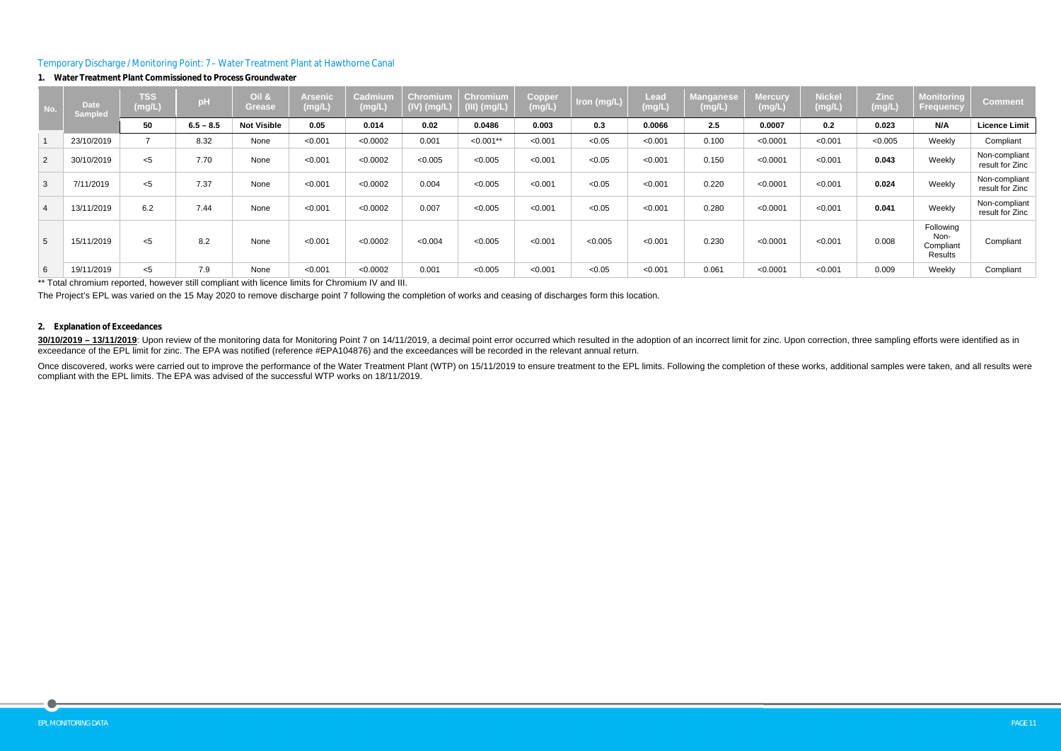## Temporary Discharge / Monitoring Point: 7 – Water Treatment Plant at Hawthorne Canal

#### **1. Water Treatment Plant Commissioned to Process Groundwater**

\*\* Total chromium reported, however still compliant with licence limits for Chromium IV and III.

#### **No. Date Sampled TSS (mg/L) pH Oil & Grease Arsenic (mg/L) Cadmium (mg/L) Chromium (IV) (mg/L) Chromium (III) (mg/L) Copper (mg/L) Iron (mg/L) Lead (mg/L) Manganese (mg/L) Mercury (mg/L)** 50 | 6.5-8.5 | Not Visible | 0.05 | 0.014 | 0.02 | 0.0486 | 0.003 | 0.3 | 0.0066 | 2.5 | 0.0007 | 0.2 | 0.023 | N/A | Licence Limit 1 23/10/2019 7 8.32 None <0.001 <0.0002 0.001 <0.001\*\* <0.001 <0.05 <0.001 0.100 <0.0001 <0.001 <0.005 Weekly Compliant <sup>2</sup> 30/10/2019 <5 7.70 None <0.001 <0.0002 <0.005 <0.005 <0.001 <0.05 <0.001 0.150 <0.0001 <0.001 **0.043** Weekly Non-compliant <sup>3</sup> 7/11/2019 <5 7.37 None <0.001 <0.0002 0.004 <0.005 <0.001 <0.05 <0.001 0.220 <0.0001 <0.001 **0.024** Weekly Non-compliant <sup>4</sup> 13/11/2019 6.2 7.44 None <0.001 <0.0002 0.007 <0.005 <0.001 <0.05 <0.001 0.280 <0.0001 <0.001 **0.041** Weekly Non-compliant 5 15/11/2019 <5 8.2 None <0.001 <0.0002 <0.004 <0.005 <0.001 <0.005 <0.001 0.230 <0.0001 <0.001 0.008 6 19/11/2019 <5 7.9 None <0.001 <0.0002 0.001 <0.005 <0.001 <0.05 <0.001 0.061 <0.0001 <0.001 0.009 Weekly Compliant

| <b>Nickel</b><br>(mg/L) | <b>Zinc</b><br>(mg/L) | <b>Monitoring</b><br><b>Frequency</b>     | Comment                          |
|-------------------------|-----------------------|-------------------------------------------|----------------------------------|
| 0.2                     | 0.023                 | N/A                                       | <b>Licence Limit</b>             |
| < 0.001                 | < 0.005               | Weekly                                    | Compliant                        |
| < 0.001                 | 0.043                 | Weekly                                    | Non-compliant<br>result for Zinc |
| < 0.001                 | 0.024                 | Weekly                                    | Non-compliant<br>result for Zinc |
| < 0.001                 | 0.041                 | Weekly                                    | Non-compliant<br>result for Zinc |
| < 0.001                 | 0.008                 | Following<br>Non-<br>Compliant<br>Results | Compliant                        |
| < 0.001                 | 0.009                 | Weekly                                    | Compliant                        |

The Project's EPL was varied on the 15 May 2020 to remove discharge point 7 following the completion of works and ceasing of discharges form this location.

### **2. Explanation of Exceedances**

30/10/2019 - 13/11/2019: Upon review of the monitoring data for Monitoring Point 7 on 14/11/2019, a decimal point error occurred which resulted in the adoption of an incorrect limit for zinc. Upon correction, three samplin exceedance of the EPL limit for zinc. The EPA was notified (reference #EPA104876) and the exceedances will be recorded in the relevant annual return. Once discovered, works were carried out to improve the performance of the Water Treatment Plant (WTP) on 15/11/2019 to ensure treatment to the EPL limits. Following the completion of these works, additional samples were ta

compliant with the EPL limits. The EPA was advised of the successful WTP works on 18/11/2019.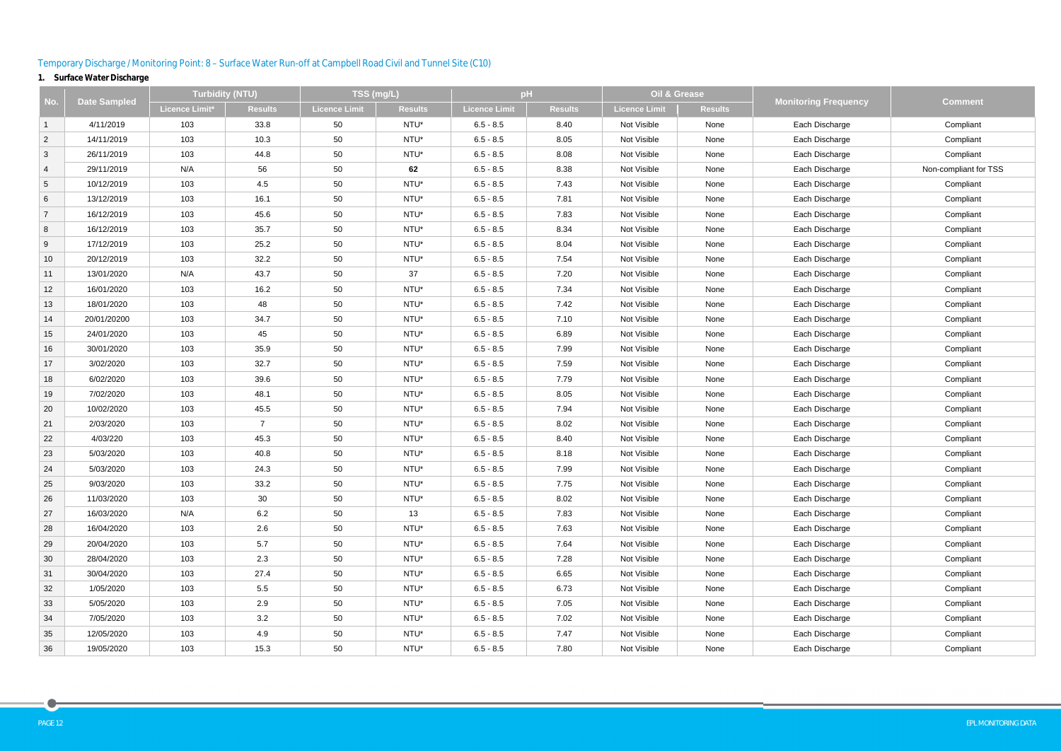# Temporary Discharge / Monitoring Point: 8 – Surface Water Run-off at Campbell Road Civil and Tunnel Site (C10)

# **1. Surface Water Discharge**

|                 | <b>Date Sampled</b> | <b>Turbidity (NTU)</b> |                |                      | TSS (mg/L)     |               | pH             | Oil & Grease         |                |                             | <b>Comment</b>        |  |
|-----------------|---------------------|------------------------|----------------|----------------------|----------------|---------------|----------------|----------------------|----------------|-----------------------------|-----------------------|--|
| No.             |                     | Licence Limit*         | <b>Results</b> | <b>Licence Limit</b> | <b>Results</b> | Licence Limit | <b>Results</b> | <b>Licence Limit</b> | <b>Results</b> | <b>Monitoring Frequency</b> |                       |  |
| $\mathbf{1}$    | 4/11/2019           | 103                    | 33.8           | 50                   | NTU*           | $6.5 - 8.5$   | 8.40           | Not Visible          | None           | Each Discharge              | Compliant             |  |
| $\overline{2}$  | 14/11/2019          | 103                    | 10.3           | 50                   | NTU*           | $6.5 - 8.5$   | 8.05           | Not Visible          | None           | Each Discharge              | Compliant             |  |
| $\mathbf{3}$    | 26/11/2019          | 103                    | 44.8           | 50                   | NTU*           | $6.5 - 8.5$   | 8.08           | Not Visible          | None           | Each Discharge              | Compliant             |  |
| $\overline{4}$  | 29/11/2019          | N/A                    | 56             | 50                   | 62             | $6.5 - 8.5$   | 8.38           | Not Visible          | None           | Each Discharge              | Non-compliant for TSS |  |
| $\overline{5}$  | 10/12/2019          | 103                    | 4.5            | 50                   | NTU*           | $6.5 - 8.5$   | 7.43           | Not Visible          | None           | Each Discharge              | Compliant             |  |
| $6\phantom{.}6$ | 13/12/2019          | 103                    | 16.1           | 50                   | NTU*           | $6.5 - 8.5$   | 7.81           | Not Visible          | None           | Each Discharge              | Compliant             |  |
| $\overline{7}$  | 16/12/2019          | 103                    | 45.6           | 50                   | NTU*           | $6.5 - 8.5$   | 7.83           | Not Visible          | None           | Each Discharge              | Compliant             |  |
| 8               | 16/12/2019          | 103                    | 35.7           | 50                   | NTU*           | $6.5 - 8.5$   | 8.34           | Not Visible          | None           | Each Discharge              | Compliant             |  |
| 9               | 17/12/2019          | 103                    | 25.2           | 50                   | NTU*           | $6.5 - 8.5$   | 8.04           | Not Visible          | None           | Each Discharge              | Compliant             |  |
| 10              | 20/12/2019          | 103                    | 32.2           | 50                   | NTU*           | $6.5 - 8.5$   | 7.54           | Not Visible          | None           | Each Discharge              | Compliant             |  |
| 11              | 13/01/2020          | N/A                    | 43.7           | 50                   | 37             | $6.5 - 8.5$   | 7.20           | Not Visible          | None           | Each Discharge              | Compliant             |  |
| 12              | 16/01/2020          | 103                    | 16.2           | 50                   | NTU*           | $6.5 - 8.5$   | 7.34           | Not Visible          | None           | Each Discharge              | Compliant             |  |
| 13              | 18/01/2020          | 103                    | 48             | 50                   | NTU*           | $6.5 - 8.5$   | 7.42           | Not Visible          | None           | Each Discharge              | Compliant             |  |
| 14              | 20/01/20200         | 103                    | 34.7           | 50                   | NTU*           | $6.5 - 8.5$   | 7.10           | Not Visible          | None           | Each Discharge              | Compliant             |  |
| 15              | 24/01/2020          | 103                    | 45             | 50                   | NTU*           | $6.5 - 8.5$   | 6.89           | Not Visible          | None           | Each Discharge              | Compliant             |  |
| 16              | 30/01/2020          | 103                    | 35.9           | 50                   | NTU*           | $6.5 - 8.5$   | 7.99           | Not Visible          | None           | Each Discharge              | Compliant             |  |
| 17              | 3/02/2020           | 103                    | 32.7           | 50                   | NTU*           | $6.5 - 8.5$   | 7.59           | Not Visible          | None           | Each Discharge              | Compliant             |  |
| 18              | 6/02/2020           | 103                    | 39.6           | 50                   | NTU*           | $6.5 - 8.5$   | 7.79           | Not Visible          | None           | Each Discharge              | Compliant             |  |
| 19              | 7/02/2020           | 103                    | 48.1           | 50                   | NTU*           | $6.5 - 8.5$   | 8.05           | Not Visible          | None           | Each Discharge              | Compliant             |  |
| 20              | 10/02/2020          | 103                    | 45.5           | 50                   | NTU*           | $6.5 - 8.5$   | 7.94           | Not Visible          | None           | Each Discharge              | Compliant             |  |
| 21              | 2/03/2020           | 103                    | $\overline{7}$ | 50                   | NTU*           | $6.5 - 8.5$   | 8.02           | Not Visible          | None           | Each Discharge              | Compliant             |  |
| 22              | 4/03/220            | 103                    | 45.3           | 50                   | NTU*           | $6.5 - 8.5$   | 8.40           | Not Visible          | None           | Each Discharge              | Compliant             |  |
| 23              | 5/03/2020           | 103                    | 40.8           | 50                   | NTU*           | $6.5 - 8.5$   | 8.18           | Not Visible          | None           | Each Discharge              | Compliant             |  |
| 24              | 5/03/2020           | 103                    | 24.3           | 50                   | NTU*           | $6.5 - 8.5$   | 7.99           | Not Visible          | None           | Each Discharge              | Compliant             |  |
| 25              | 9/03/2020           | 103                    | 33.2           | 50                   | NTU*           | $6.5 - 8.5$   | 7.75           | Not Visible          | None           | Each Discharge              | Compliant             |  |
| 26              | 11/03/2020          | 103                    | 30             | 50                   | NTU*           | $6.5 - 8.5$   | 8.02           | Not Visible          | None           | Each Discharge              | Compliant             |  |
| 27              | 16/03/2020          | N/A                    | 6.2            | 50                   | 13             | $6.5 - 8.5$   | 7.83           | Not Visible          | None           | Each Discharge              | Compliant             |  |
| 28              | 16/04/2020          | 103                    | 2.6            | 50                   | NTU*           | $6.5 - 8.5$   | 7.63           | Not Visible          | None           | Each Discharge              | Compliant             |  |
| 29              | 20/04/2020          | 103                    | 5.7            | 50                   | NTU*           | $6.5 - 8.5$   | 7.64           | Not Visible          | None           | Each Discharge              | Compliant             |  |
| 30              | 28/04/2020          | 103                    | 2.3            | 50                   | NTU*           | $6.5 - 8.5$   | 7.28           | Not Visible          | None           | Each Discharge              | Compliant             |  |
| 31              | 30/04/2020          | 103                    | 27.4           | 50                   | NTU*           | $6.5 - 8.5$   | 6.65           | Not Visible          | None           | Each Discharge              | Compliant             |  |
| 32              | 1/05/2020           | 103                    | 5.5            | 50                   | NTU*           | $6.5 - 8.5$   | 6.73           | Not Visible          | None           | Each Discharge              | Compliant             |  |
| 33              | 5/05/2020           | 103                    | 2.9            | 50                   | NTU*           | $6.5 - 8.5$   | 7.05           | Not Visible          | None           | Each Discharge              | Compliant             |  |
| 34              | 7/05/2020           | 103                    | 3.2            | 50                   | NTU*           | $6.5 - 8.5$   | 7.02           | Not Visible          | None           | Each Discharge              | Compliant             |  |
| 35              | 12/05/2020          | 103                    | 4.9            | 50                   | NTU*           | $6.5 - 8.5$   | 7.47           | Not Visible          | None           | Each Discharge              | Compliant             |  |
| 36              | 19/05/2020          | 103                    | 15.3           | 50                   | NTU*           | $6.5 - 8.5$   | 7.80           | Not Visible          | None           | Each Discharge              | Compliant             |  |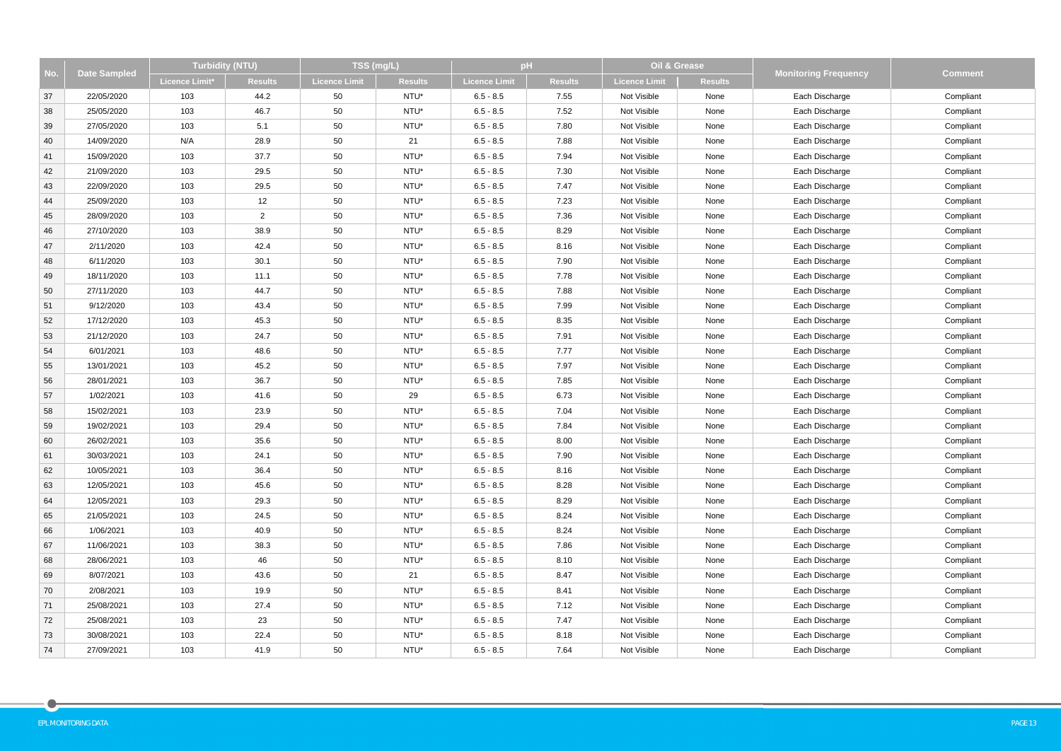|     | <b>Date Sampled</b> |                | <b>Turbidity (NTU)</b> |               | TSS (mg/L)     |                      | pH             | Oil & Grease         |                |                             | <b>Comment</b> |
|-----|---------------------|----------------|------------------------|---------------|----------------|----------------------|----------------|----------------------|----------------|-----------------------------|----------------|
| No. |                     | Licence Limit* | <b>Results</b>         | Licence Limit | <b>Results</b> | <b>Licence Limit</b> | <b>Results</b> | <b>Licence Limit</b> | <b>Results</b> | <b>Monitoring Frequency</b> |                |
| 37  | 22/05/2020          | 103            | 44.2                   | 50            | NTU*           | $6.5 - 8.5$          | 7.55           | Not Visible          | None           | Each Discharge              | Compliant      |
| 38  | 25/05/2020          | 103            | 46.7                   | 50            | NTU*           | $6.5 - 8.5$          | 7.52           | Not Visible          | None           | Each Discharge              | Compliant      |
| 39  | 27/05/2020          | 103            | 5.1                    | 50            | NTU*           | $6.5 - 8.5$          | 7.80           | Not Visible          | None           | Each Discharge              | Compliant      |
| 40  | 14/09/2020          | N/A            | 28.9                   | 50            | 21             | $6.5 - 8.5$          | 7.88           | Not Visible          | None           | Each Discharge              | Compliant      |
| 41  | 15/09/2020          | 103            | 37.7                   | 50            | NTU*           | $6.5 - 8.5$          | 7.94           | Not Visible          | None           | Each Discharge              | Compliant      |
| 42  | 21/09/2020          | 103            | 29.5                   | 50            | NTU*           | $6.5 - 8.5$          | 7.30           | Not Visible          | None           | Each Discharge              | Compliant      |
| 43  | 22/09/2020          | 103            | 29.5                   | 50            | NTU*           | $6.5 - 8.5$          | 7.47           | Not Visible          | None           | Each Discharge              | Compliant      |
| 44  | 25/09/2020          | 103            | 12                     | 50            | NTU*           | $6.5 - 8.5$          | 7.23           | Not Visible          | None           | Each Discharge              | Compliant      |
| 45  | 28/09/2020          | 103            | $\overline{2}$         | 50            | NTU*           | $6.5 - 8.5$          | 7.36           | Not Visible          | None           | Each Discharge              | Compliant      |
| 46  | 27/10/2020          | 103            | 38.9                   | 50            | NTU*           | $6.5 - 8.5$          | 8.29           | Not Visible          | None           | Each Discharge              | Compliant      |
| 47  | 2/11/2020           | 103            | 42.4                   | 50            | NTU*           | $6.5 - 8.5$          | 8.16           | Not Visible          | None           | Each Discharge              | Compliant      |
| 48  | 6/11/2020           | 103            | 30.1                   | 50            | NTU*           | $6.5 - 8.5$          | 7.90           | Not Visible          | None           | Each Discharge              | Compliant      |
| 49  | 18/11/2020          | 103            | 11.1                   | 50            | NTU*           | $6.5 - 8.5$          | 7.78           | Not Visible          | None           | Each Discharge              | Compliant      |
| 50  | 27/11/2020          | 103            | 44.7                   | 50            | NTU*           | $6.5 - 8.5$          | 7.88           | Not Visible          | None           | Each Discharge              | Compliant      |
| 51  | 9/12/2020           | 103            | 43.4                   | 50            | NTU*           | $6.5 - 8.5$          | 7.99           | Not Visible          | None           | Each Discharge              | Compliant      |
| 52  | 17/12/2020          | 103            | 45.3                   | 50            | NTU*           | $6.5 - 8.5$          | 8.35           | Not Visible          | None           | Each Discharge              | Compliant      |
| 53  | 21/12/2020          | 103            | 24.7                   | 50            | NTU*           | $6.5 - 8.5$          | 7.91           | Not Visible          | None           | Each Discharge              | Compliant      |
| 54  | 6/01/2021           | 103            | 48.6                   | 50            | NTU*           | $6.5 - 8.5$          | 7.77           | Not Visible          | None           | Each Discharge              | Compliant      |
| 55  | 13/01/2021          | 103            | 45.2                   | 50            | NTU*           | $6.5 - 8.5$          | 7.97           | Not Visible          | None           | Each Discharge              | Compliant      |
| 56  | 28/01/2021          | 103            | 36.7                   | 50            | NTU*           | $6.5 - 8.5$          | 7.85           | Not Visible          | None           | Each Discharge              | Compliant      |
| 57  | 1/02/2021           | 103            | 41.6                   | 50            | 29             | $6.5 - 8.5$          | 6.73           | Not Visible          | None           | Each Discharge              | Compliant      |
| 58  | 15/02/2021          | 103            | 23.9                   | 50            | NTU*           | $6.5 - 8.5$          | 7.04           | Not Visible          | None           | Each Discharge              | Compliant      |
| 59  | 19/02/2021          | 103            | 29.4                   | 50            | NTU*           | $6.5 - 8.5$          | 7.84           | Not Visible          | None           | Each Discharge              | Compliant      |
| 60  | 26/02/2021          | 103            | 35.6                   | 50            | NTU*           | $6.5 - 8.5$          | 8.00           | Not Visible          | None           | Each Discharge              | Compliant      |
| 61  | 30/03/2021          | 103            | 24.1                   | 50            | NTU*           | $6.5 - 8.5$          | 7.90           | Not Visible          | None           | Each Discharge              | Compliant      |
| 62  | 10/05/2021          | 103            | 36.4                   | 50            | NTU*           | $6.5 - 8.5$          | 8.16           | Not Visible          | None           | Each Discharge              | Compliant      |
| 63  | 12/05/2021          | 103            | 45.6                   | 50            | NTU*           | $6.5 - 8.5$          | 8.28           | Not Visible          | None           | Each Discharge              | Compliant      |
| 64  | 12/05/2021          | 103            | 29.3                   | 50            | NTU*           | $6.5 - 8.5$          | 8.29           | Not Visible          | None           | Each Discharge              | Compliant      |
| 65  | 21/05/2021          | 103            | 24.5                   | 50            | NTU*           | $6.5 - 8.5$          | 8.24           | Not Visible          | None           | Each Discharge              | Compliant      |
| 66  | 1/06/2021           | 103            | 40.9                   | 50            | NTU*           | $6.5 - 8.5$          | 8.24           | Not Visible          | None           | Each Discharge              | Compliant      |
| 67  | 11/06/2021          | 103            | 38.3                   | 50            | NTU*           | $6.5 - 8.5$          | 7.86           | Not Visible          | None           | Each Discharge              | Compliant      |
| 68  | 28/06/2021          | 103            | 46                     | 50            | NTU*           | $6.5 - 8.5$          | 8.10           | Not Visible          | None           | Each Discharge              | Compliant      |
| 69  | 8/07/2021           | 103            | 43.6                   | 50            | 21             | $6.5 - 8.5$          | 8.47           | Not Visible          | None           | Each Discharge              | Compliant      |
| 70  | 2/08/2021           | 103            | 19.9                   | 50            | NTU*           | $6.5 - 8.5$          | 8.41           | Not Visible          | None           | Each Discharge              | Compliant      |
| 71  | 25/08/2021          | 103            | 27.4                   | 50            | NTU*           | $6.5 - 8.5$          | 7.12           | Not Visible          | None           | Each Discharge              | Compliant      |
| 72  | 25/08/2021          | 103            | 23                     | 50            | NTU*           | $6.5 - 8.5$          | 7.47           | Not Visible          | None           | Each Discharge              | Compliant      |
| 73  | 30/08/2021          | 103            | 22.4                   | 50            | NTU*           | $6.5 - 8.5$          | 8.18           | Not Visible          | None           | Each Discharge              | Compliant      |
| 74  | 27/09/2021          | 103            | 41.9                   | 50            | NTU*           | $6.5 - 8.5$          | 7.64           | Not Visible          | None           | Each Discharge              | Compliant      |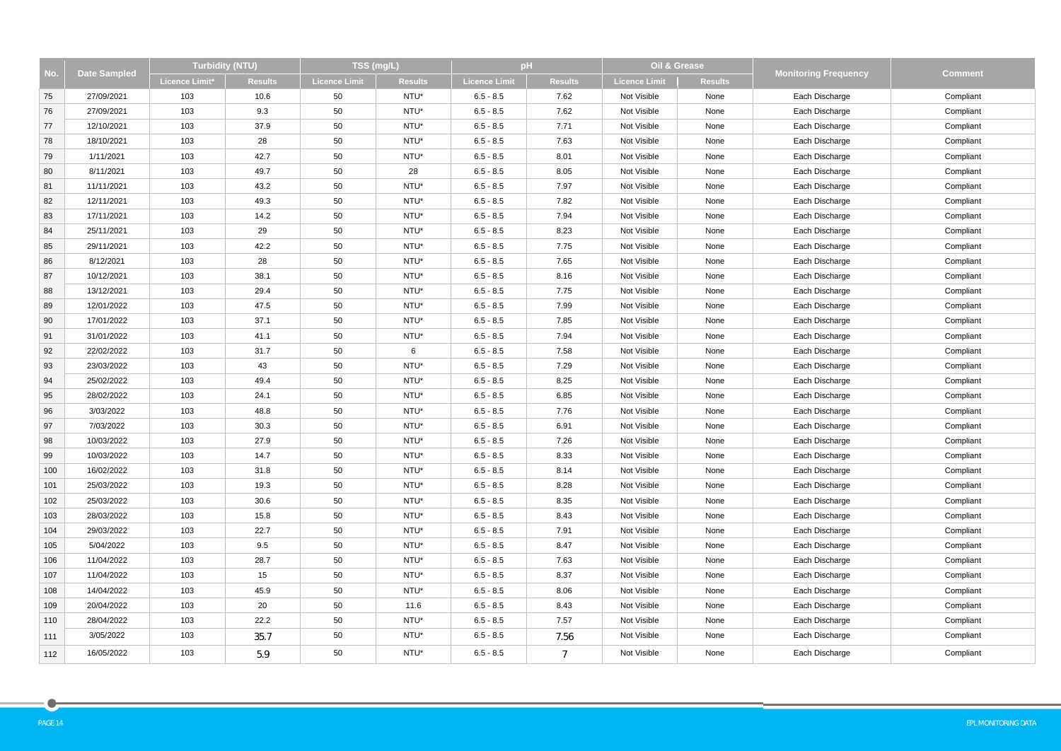|     | <b>Date Sampled</b> | Turbidity (NTU) |                | TSS (mg/L)           |                | pH                   |                | Oil & Grease         |                |                             |                |
|-----|---------------------|-----------------|----------------|----------------------|----------------|----------------------|----------------|----------------------|----------------|-----------------------------|----------------|
| No. |                     | Licence Limit*  | <b>Results</b> | <b>Licence Limit</b> | <b>Results</b> | <b>Licence Limit</b> | <b>Results</b> | <b>Licence Limit</b> | <b>Results</b> | <b>Monitoring Frequency</b> | <b>Comment</b> |
| 75  | 27/09/2021          | 103             | 10.6           | 50                   | NTU*           | $6.5 - 8.5$          | 7.62           | Not Visible          | None           | Each Discharge              | Compliant      |
| 76  | 27/09/2021          | 103             | 9.3            | 50                   | NTU*           | $6.5 - 8.5$          | 7.62           | Not Visible          | None           | Each Discharge              | Compliant      |
| 77  | 12/10/2021          | 103             | 37.9           | 50                   | NTU*           | $6.5 - 8.5$          | 7.71           | Not Visible          | None           | Each Discharge              | Compliant      |
| 78  | 18/10/2021          | 103             | 28             | 50                   | NTU*           | $6.5 - 8.5$          | 7.63           | Not Visible          | None           | Each Discharge              | Compliant      |
| 79  | 1/11/2021           | 103             | 42.7           | 50                   | NTU*           | $6.5 - 8.5$          | 8.01           | Not Visible          | None           | Each Discharge              | Compliant      |
| 80  | 8/11/2021           | 103             | 49.7           | 50                   | 28             | $6.5 - 8.5$          | 8.05           | Not Visible          | None           | Each Discharge              | Compliant      |
| 81  | 11/11/2021          | 103             | 43.2           | 50                   | NTU*           | $6.5 - 8.5$          | 7.97           | Not Visible          | None           | Each Discharge              | Compliant      |
| 82  | 12/11/2021          | 103             | 49.3           | 50                   | NTU*           | $6.5 - 8.5$          | 7.82           | Not Visible          | None           | Each Discharge              | Compliant      |
| 83  | 17/11/2021          | 103             | 14.2           | 50                   | NTU*           | $6.5 - 8.5$          | 7.94           | Not Visible          | None           | Each Discharge              | Compliant      |
| 84  | 25/11/2021          | 103             | 29             | 50                   | NTU*           | $6.5 - 8.5$          | 8.23           | Not Visible          | None           | Each Discharge              | Compliant      |
| 85  | 29/11/2021          | 103             | 42.2           | 50                   | NTU*           | $6.5 - 8.5$          | 7.75           | Not Visible          | None           | Each Discharge              | Compliant      |
| 86  | 8/12/2021           | 103             | 28             | 50                   | NTU*           | $6.5 - 8.5$          | 7.65           | Not Visible          | None           | Each Discharge              | Compliant      |
| 87  | 10/12/2021          | 103             | 38.1           | 50                   | NTU*           | $6.5 - 8.5$          | 8.16           | Not Visible          | None           | Each Discharge              | Compliant      |
| 88  | 13/12/2021          | 103             | 29.4           | 50                   | NTU*           | $6.5 - 8.5$          | 7.75           | Not Visible          | None           | Each Discharge              | Compliant      |
| 89  | 12/01/2022          | 103             | 47.5           | 50                   | NTU*           | $6.5 - 8.5$          | 7.99           | Not Visible          | None           | Each Discharge              | Compliant      |
| 90  | 17/01/2022          | 103             | 37.1           | 50                   | NTU*           | $6.5 - 8.5$          | 7.85           | Not Visible          | None           | Each Discharge              | Compliant      |
| 91  | 31/01/2022          | 103             | 41.1           | 50                   | NTU*           | $6.5 - 8.5$          | 7.94           | Not Visible          | None           | Each Discharge              | Compliant      |
| 92  | 22/02/2022          | 103             | 31.7           | 50                   | 6              | $6.5 - 8.5$          | 7.58           | Not Visible          | None           | Each Discharge              | Compliant      |
| 93  | 23/03/2022          | 103             | 43             | 50                   | NTU*           | $6.5 - 8.5$          | 7.29           | Not Visible          | None           | Each Discharge              | Compliant      |
| 94  | 25/02/2022          | 103             | 49.4           | 50                   | NTU*           | $6.5 - 8.5$          | 8.25           | Not Visible          | None           | Each Discharge              | Compliant      |
| 95  | 28/02/2022          | 103             | 24.1           | 50                   | NTU*           | $6.5 - 8.5$          | 6.85           | Not Visible          | None           | Each Discharge              | Compliant      |
| 96  | 3/03/2022           | 103             | 48.8           | 50                   | NTU*           | $6.5 - 8.5$          | 7.76           | Not Visible          | None           | Each Discharge              | Compliant      |
| 97  | 7/03/2022           | 103             | 30.3           | 50                   | NTU*           | $6.5 - 8.5$          | 6.91           | Not Visible          | None           | Each Discharge              | Compliant      |
| 98  | 10/03/2022          | 103             | 27.9           | 50                   | NTU*           | $6.5 - 8.5$          | 7.26           | Not Visible          | None           | Each Discharge              | Compliant      |
| 99  | 10/03/2022          | 103             | 14.7           | 50                   | NTU*           | $6.5 - 8.5$          | 8.33           | Not Visible          | None           | Each Discharge              | Compliant      |
| 100 | 16/02/2022          | 103             | 31.8           | 50                   | NTU*           | $6.5 - 8.5$          | 8.14           | Not Visible          | None           | Each Discharge              | Compliant      |
| 101 | 25/03/2022          | 103             | 19.3           | 50                   | NTU*           | $6.5 - 8.5$          | 8.28           | Not Visible          | None           | Each Discharge              | Compliant      |
| 102 | 25/03/2022          | 103             | 30.6           | 50                   | NTU*           | $6.5 - 8.5$          | 8.35           | Not Visible          | None           | Each Discharge              | Compliant      |
| 103 | 28/03/2022          | 103             | 15.8           | 50                   | NTU*           | $6.5 - 8.5$          | 8.43           | Not Visible          | None           | Each Discharge              | Compliant      |
| 104 | 29/03/2022          | 103             | 22.7           | 50                   | NTU*           | $6.5 - 8.5$          | 7.91           | Not Visible          | None           | Each Discharge              | Compliant      |
| 105 | 5/04/2022           | 103             | 9.5            | 50                   | NTU*           | $6.5 - 8.5$          | 8.47           | Not Visible          | None           | Each Discharge              | Compliant      |
| 106 | 11/04/2022          | 103             | 28.7           | 50                   | NTU*           | $6.5 - 8.5$          | 7.63           | Not Visible          | None           | Each Discharge              | Compliant      |
| 107 | 11/04/2022          | 103             | 15             | 50                   | NTU*           | $6.5 - 8.5$          | 8.37           | Not Visible          | None           | Each Discharge              | Compliant      |
| 108 | 14/04/2022          | 103             | 45.9           | 50                   | NTU*           | $6.5 - 8.5$          | 8.06           | Not Visible          | None           | Each Discharge              | Compliant      |
| 109 | 20/04/2022          | 103             | 20             | 50                   | 11.6           | $6.5 - 8.5$          | 8.43           | Not Visible          | None           | Each Discharge              | Compliant      |
| 110 | 28/04/2022          | 103             | 22.2           | 50                   | NTU*           | $6.5 - 8.5$          | 7.57           | Not Visible          | None           | Each Discharge              | Compliant      |
| 111 | 3/05/2022           | 103             | 35.7           | 50                   | NTU*           | $6.5 - 8.5$          | 7.56           | Not Visible          | None           | Each Discharge              | Compliant      |
| 112 | 16/05/2022          | 103             | 5.9            | 50                   | NTU*           | $6.5 - 8.5$          | $\overline{7}$ | Not Visible          | None           | Each Discharge              | Compliant      |